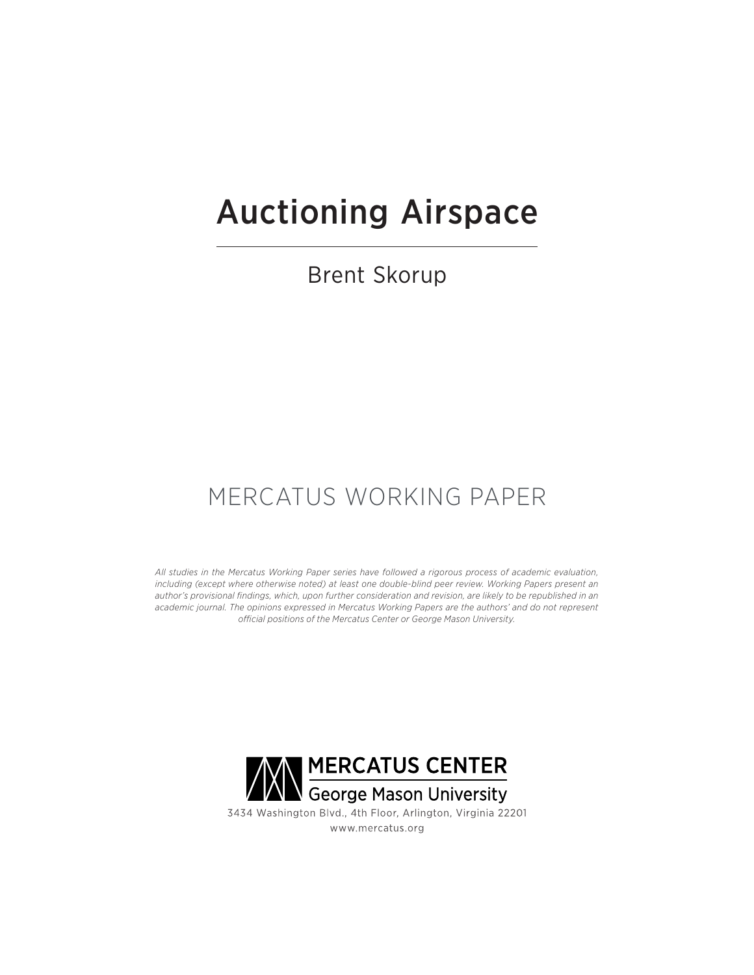# Auctioning Airspace

Brent Skorup

# MERCATUS WORKING PAPER

*All studies in the Mercatus Working Paper series have followed a rigorous process of academic evaluation, including (except where otherwise noted) at least one double-blind peer review. Working Papers present an author's provisional findings, which, upon further consideration and revision, are likely to be republished in an academic journal. The opinions expressed in Mercatus Working Papers are the authors' and do not represent official positions of the Mercatus Center or George Mason University.*

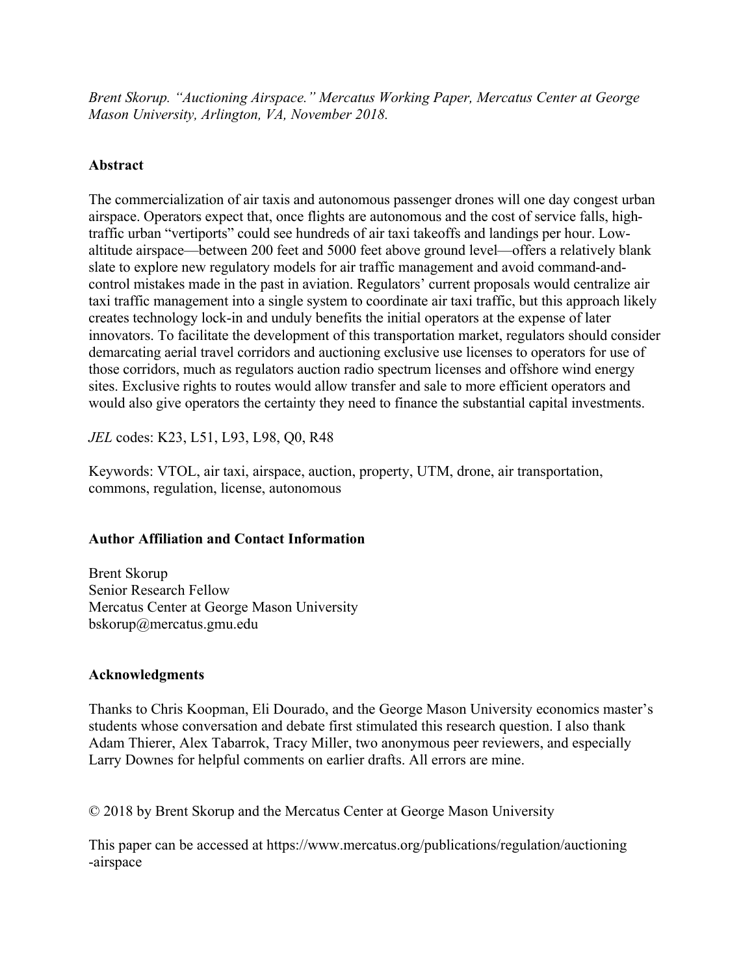*Brent Skorup. "Auctioning Airspace." Mercatus Working Paper, Mercatus Center at George Mason University, Arlington, VA, November 2018.*

# **Abstract**

The commercialization of air taxis and autonomous passenger drones will one day congest urban airspace. Operators expect that, once flights are autonomous and the cost of service falls, hightraffic urban "vertiports" could see hundreds of air taxi takeoffs and landings per hour. Lowaltitude airspace—between 200 feet and 5000 feet above ground level—offers a relatively blank slate to explore new regulatory models for air traffic management and avoid command-andcontrol mistakes made in the past in aviation. Regulators' current proposals would centralize air taxi traffic management into a single system to coordinate air taxi traffic, but this approach likely creates technology lock-in and unduly benefits the initial operators at the expense of later innovators. To facilitate the development of this transportation market, regulators should consider demarcating aerial travel corridors and auctioning exclusive use licenses to operators for use of those corridors, much as regulators auction radio spectrum licenses and offshore wind energy sites. Exclusive rights to routes would allow transfer and sale to more efficient operators and would also give operators the certainty they need to finance the substantial capital investments.

*JEL* codes: K23, L51, L93, L98, Q0, R48

Keywords: VTOL, air taxi, airspace, auction, property, UTM, drone, air transportation, commons, regulation, license, autonomous

# **Author Affiliation and Contact Information**

Brent Skorup Senior Research Fellow Mercatus Center at George Mason University bskorup@mercatus.gmu.edu

# **Acknowledgments**

Thanks to Chris Koopman, Eli Dourado, and the George Mason University economics master's students whose conversation and debate first stimulated this research question. I also thank Adam Thierer, Alex Tabarrok, Tracy Miller, two anonymous peer reviewers, and especially Larry Downes for helpful comments on earlier drafts. All errors are mine.

© 2018 by Brent Skorup and the Mercatus Center at George Mason University

This paper can be accessed at [https://www.mercatus.org/publications/regulation/auctioning](https://www.mercatus.org/publications/regulation/auctioning-airspace) [-airspace](https://www.mercatus.org/publications/regulation/auctioning-airspace)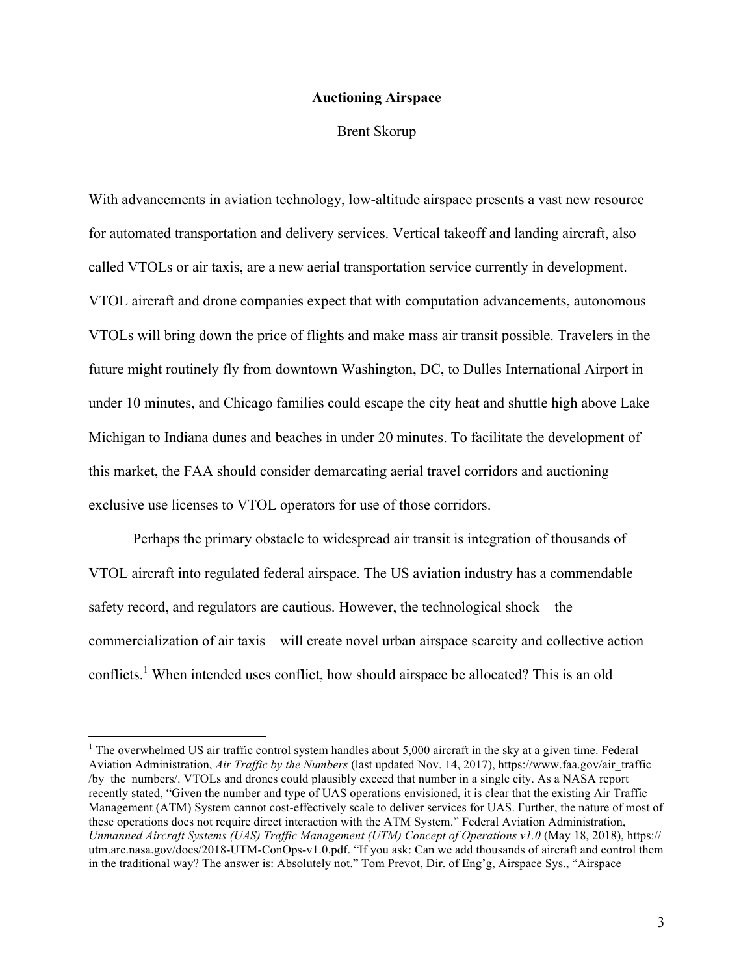# **Auctioning Airspace**

#### Brent Skorup

With advancements in aviation technology, low-altitude airspace presents a vast new resource for automated transportation and delivery services. Vertical takeoff and landing aircraft, also called VTOLs or air taxis, are a new aerial transportation service currently in development. VTOL aircraft and drone companies expect that with computation advancements, autonomous VTOLs will bring down the price of flights and make mass air transit possible. Travelers in the future might routinely fly from downtown Washington, DC, to Dulles International Airport in under 10 minutes, and Chicago families could escape the city heat and shuttle high above Lake Michigan to Indiana dunes and beaches in under 20 minutes. To facilitate the development of this market, the FAA should consider demarcating aerial travel corridors and auctioning exclusive use licenses to VTOL operators for use of those corridors.

Perhaps the primary obstacle to widespread air transit is integration of thousands of VTOL aircraft into regulated federal airspace. The US aviation industry has a commendable safety record, and regulators are cautious. However, the technological shock—the commercialization of air taxis—will create novel urban airspace scarcity and collective action conflicts.<sup>1</sup> When intended uses conflict, how should airspace be allocated? This is an old

 $1$ <sup>1</sup> The overwhelmed US air traffic control system handles about 5,000 aircraft in the sky at a given time. Federal Aviation Administration, *Air Traffic by the Numbers* (last updated Nov. 14, 2017), https://www.faa.gov/air\_traffic /by\_the\_numbers/. VTOLs and drones could plausibly exceed that number in a single city. As a NASA report recently stated, "Given the number and type of UAS operations envisioned, it is clear that the existing Air Traffic Management (ATM) System cannot cost-effectively scale to deliver services for UAS. Further, the nature of most of these operations does not require direct interaction with the ATM System." Federal Aviation Administration, *Unmanned Aircraft Systems (UAS) Traffic Management (UTM) Concept of Operations v1.0* (May 18, 2018), https:// utm.arc.nasa.gov/docs/2018-UTM-ConOps-v1.0.pdf. "If you ask: Can we add thousands of aircraft and control them in the traditional way? The answer is: Absolutely not." Tom Prevot, Dir. of Eng'g, Airspace Sys., "Airspace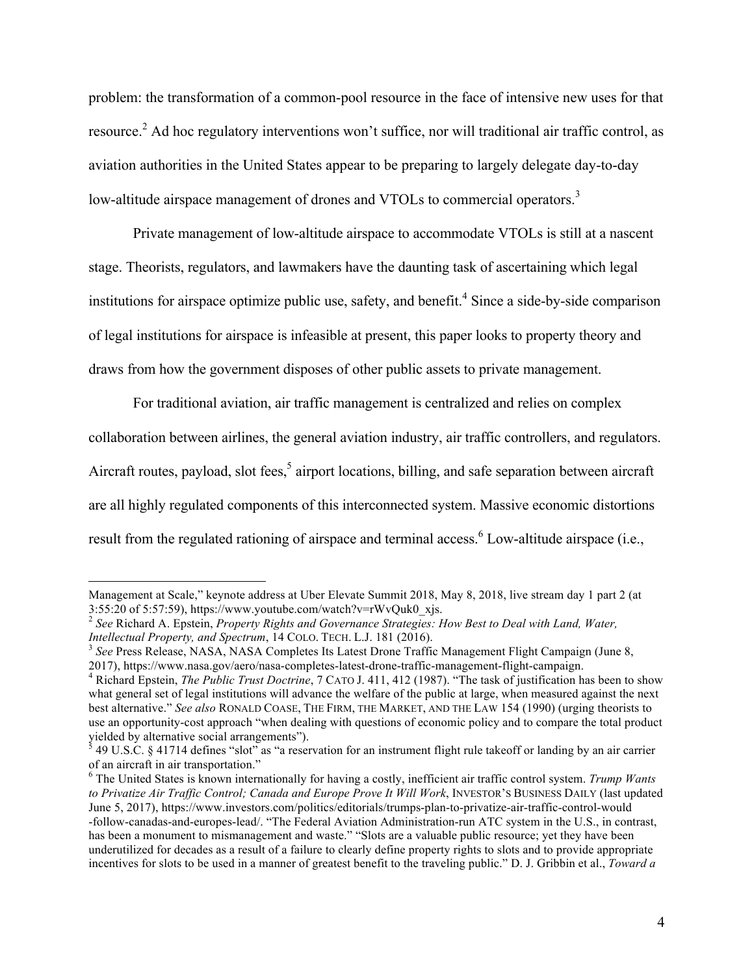problem: the transformation of a common-pool resource in the face of intensive new uses for that resource.<sup>2</sup> Ad hoc regulatory interventions won't suffice, nor will traditional air traffic control, as aviation authorities in the United States appear to be preparing to largely delegate day-to-day low-altitude airspace management of drones and VTOLs to commercial operators.<sup>3</sup>

Private management of low-altitude airspace to accommodate VTOLs is still at a nascent stage. Theorists, regulators, and lawmakers have the daunting task of ascertaining which legal institutions for airspace optimize public use, safety, and benefit.<sup>4</sup> Since a side-by-side comparison of legal institutions for airspace is infeasible at present, this paper looks to property theory and draws from how the government disposes of other public assets to private management.

For traditional aviation, air traffic management is centralized and relies on complex collaboration between airlines, the general aviation industry, air traffic controllers, and regulators. Aircraft routes, payload, slot fees,<sup>5</sup> airport locations, billing, and safe separation between aircraft are all highly regulated components of this interconnected system. Massive economic distortions result from the regulated rationing of airspace and terminal access.<sup>6</sup> Low-altitude airspace (i.e.,

Management at Scale," keynote address at Uber Elevate Summit 2018, May 8, 2018, live stream day 1 part 2 (at 3:55:20 of 5:57:59), https://www.youtube.com/watch?v=rWvQuk0\_xjs.

<sup>2</sup> *See* Richard A. Epstein, *Property Rights and Governance Strategies: How Best to Deal with Land, Water, Intellectual Property, and Spectrum*, 14 COLO. TECH. L.J. 181 (2016).<br><sup>3</sup> *See* Press Release, NASA, NASA Completes Its Latest Drone Traffic Management Flight Campaign (June 8,

<sup>2017),</sup> https://www.nasa.gov/aero/nasa-completes-latest-drone-traffic-management-flight-campaign. <sup>4</sup> Richard Epstein, *The Public Trust Doctrine*, 7 CATO J. 411, 412 (1987). "The task of justification has been to show what general set of legal institutions will advance the welfare of the public at large, when measured against the next best alternative." *See also* RONALD COASE, THE FIRM, THE MARKET, AND THE LAW 154 (1990) (urging theorists to use an opportunity-cost approach "when dealing with questions of economic policy and to compare the total product yielded by alternative social arrangements").<br><sup>5</sup> 49 U.S.C. § 41714 defines "slot" as "a reservation for an instrument flight rule takeoff or landing by an air carrier

of an aircraft in air transportation."

<sup>6</sup> The United States is known internationally for having a costly, inefficient air traffic control system. *Trump Wants to Privatize Air Traffic Control; Canada and Europe Prove It Will Work*, INVESTOR'S BUSINESS DAILY (last updated June 5, 2017), https://www.investors.com/politics/editorials/trumps-plan-to-privatize-air-traffic-control-would -follow-canadas-and-europes-lead/. "The Federal Aviation Administration-run ATC system in the U.S., in contrast, has been a monument to mismanagement and waste." "Slots are a valuable public resource; yet they have been underutilized for decades as a result of a failure to clearly define property rights to slots and to provide appropriate incentives for slots to be used in a manner of greatest benefit to the traveling public." D. J. Gribbin et al., *Toward a*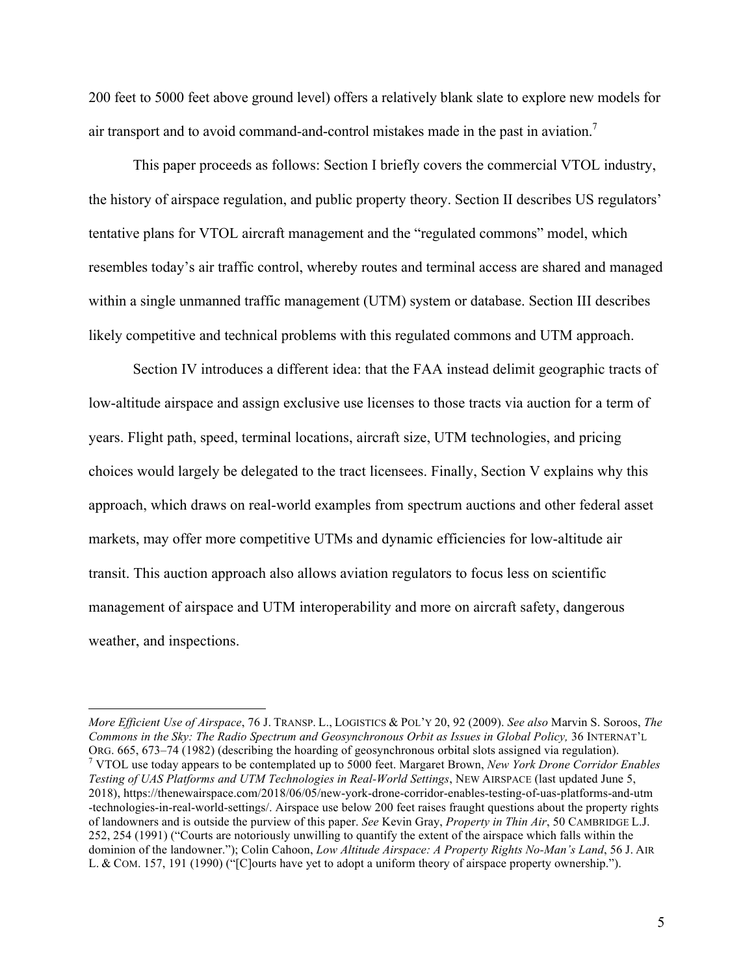200 feet to 5000 feet above ground level) offers a relatively blank slate to explore new models for air transport and to avoid command-and-control mistakes made in the past in aviation.<sup>7</sup>

This paper proceeds as follows: Section I briefly covers the commercial VTOL industry, the history of airspace regulation, and public property theory. Section II describes US regulators' tentative plans for VTOL aircraft management and the "regulated commons" model, which resembles today's air traffic control, whereby routes and terminal access are shared and managed within a single unmanned traffic management (UTM) system or database. Section III describes likely competitive and technical problems with this regulated commons and UTM approach.

Section IV introduces a different idea: that the FAA instead delimit geographic tracts of low-altitude airspace and assign exclusive use licenses to those tracts via auction for a term of years. Flight path, speed, terminal locations, aircraft size, UTM technologies, and pricing choices would largely be delegated to the tract licensees. Finally, Section V explains why this approach, which draws on real-world examples from spectrum auctions and other federal asset markets, may offer more competitive UTMs and dynamic efficiencies for low-altitude air transit. This auction approach also allows aviation regulators to focus less on scientific management of airspace and UTM interoperability and more on aircraft safety, dangerous weather, and inspections.

 $\overline{a}$ 

*More Efficient Use of Airspace*, 76 J. TRANSP. L., LOGISTICS & POL'Y 20, 92 (2009). *See also* Marvin S. Soroos, *The Commons in the Sky: The Radio Spectrum and Geosynchronous Orbit as Issues in Global Policy,* 36 INTERNAT'L ORG. 665, 673–74 (1982) (describing the hoarding of geosynchronous orbital slots assigned via regulation). <sup>7</sup> VTOL use today appears to be contemplated up to 5000 feet. Margaret Brown, *New York Drone Corridor Enables Testing of UAS Platforms and UTM Technologies in Real-World Settings*, NEW AIRSPACE (last updated June 5, 2018), https://thenewairspace.com/2018/06/05/new-york-drone-corridor-enables-testing-of-uas-platforms-and-utm -technologies-in-real-world-settings/. Airspace use below 200 feet raises fraught questions about the property rights of landowners and is outside the purview of this paper. *See* Kevin Gray, *Property in Thin Air*, 50 CAMBRIDGE L.J. 252, 254 (1991) ("Courts are notoriously unwilling to quantify the extent of the airspace which falls within the dominion of the landowner."); Colin Cahoon, *Low Altitude Airspace: A Property Rights No-Man's Land*, 56 J. AIR L. & COM. 157, 191 (1990) ("[C]ourts have yet to adopt a uniform theory of airspace property ownership.").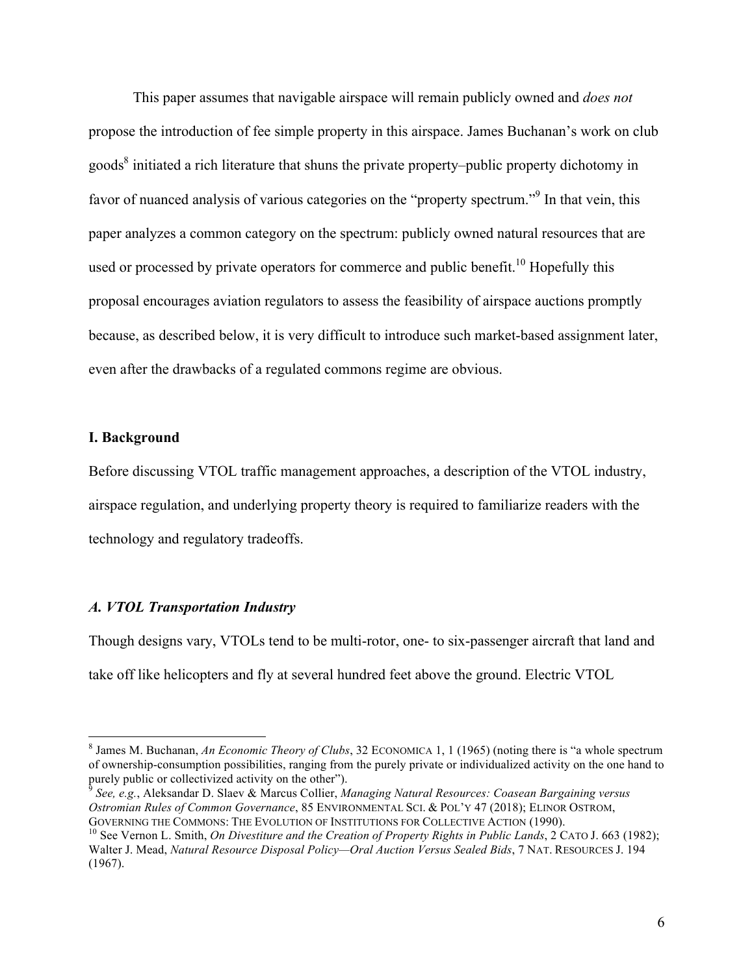This paper assumes that navigable airspace will remain publicly owned and *does not* propose the introduction of fee simple property in this airspace. James Buchanan's work on club goods<sup>8</sup> initiated a rich literature that shuns the private property–public property dichotomy in favor of nuanced analysis of various categories on the "property spectrum."<sup>9</sup> In that vein, this paper analyzes a common category on the spectrum: publicly owned natural resources that are used or processed by private operators for commerce and public benefit.<sup>10</sup> Hopefully this proposal encourages aviation regulators to assess the feasibility of airspace auctions promptly because, as described below, it is very difficult to introduce such market-based assignment later, even after the drawbacks of a regulated commons regime are obvious.

## **I. Background**

Before discussing VTOL traffic management approaches, a description of the VTOL industry, airspace regulation, and underlying property theory is required to familiarize readers with the technology and regulatory tradeoffs.

## *A. VTOL Transportation Industry*

Though designs vary, VTOLs tend to be multi-rotor, one- to six-passenger aircraft that land and take off like helicopters and fly at several hundred feet above the ground. Electric VTOL

<sup>8</sup> James M. Buchanan, *An Economic Theory of Clubs*, 32 ECONOMICA 1, 1 (1965) (noting there is "a whole spectrum of ownership-consumption possibilities, ranging from the purely private or individualized activity on the one hand to purely public or collectivized activity on the other").

<sup>9</sup> *See, e.g.*, Aleksandar D. Slaev & Marcus Collier, *Managing Natural Resources: Coasean Bargaining versus Ostromian Rules of Common Governance*, 85 ENVIRONMENTAL SCI. & POL'Y 47 (2018); ELINOR OSTROM, GOVERNING THE COMMONS: THE EVOLUTION OF INSTITUTIONS FOR COLLECTIVE ACTION (1990).

<sup>&</sup>lt;sup>10</sup> See Vernon L. Smith, *On Divestiture and the Creation of Property Rights in Public Lands*, 2 CATO J. 663 (1982); Walter J. Mead, *Natural Resource Disposal Policy—Oral Auction Versus Sealed Bids*, 7 NAT. RESOURCES J. 194 (1967).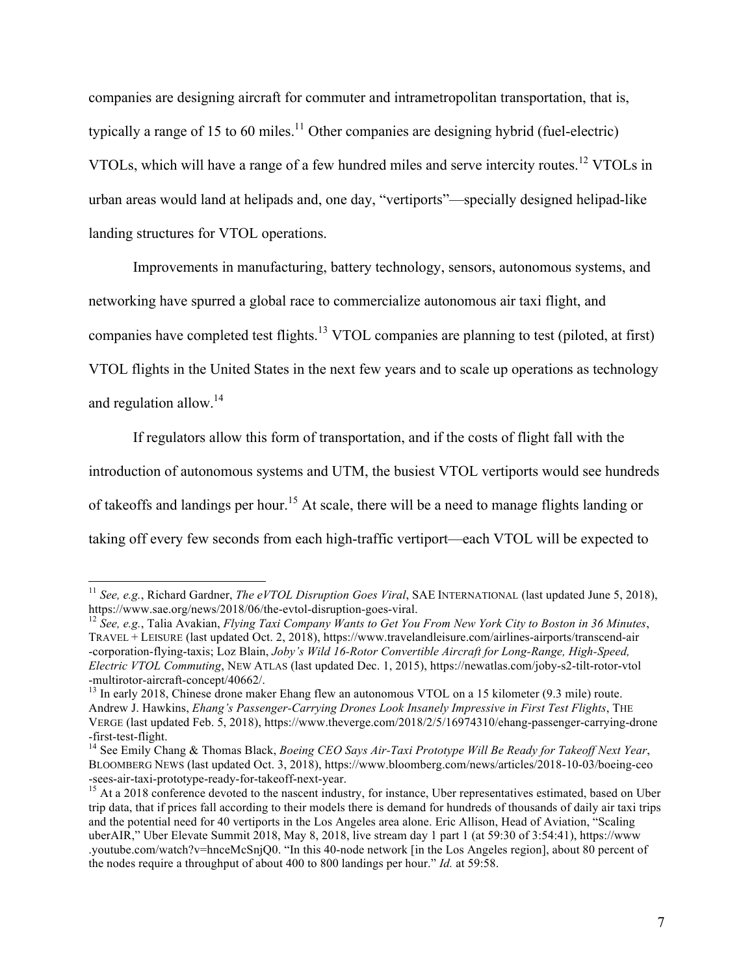companies are designing aircraft for commuter and intrametropolitan transportation, that is, typically a range of 15 to 60 miles.<sup>11</sup> Other companies are designing hybrid (fuel-electric) VTOLs, which will have a range of a few hundred miles and serve intercity routes.<sup>12</sup> VTOLs in urban areas would land at helipads and, one day, "vertiports"—specially designed helipad-like landing structures for VTOL operations.

Improvements in manufacturing, battery technology, sensors, autonomous systems, and networking have spurred a global race to commercialize autonomous air taxi flight, and companies have completed test flights.<sup>13</sup> VTOL companies are planning to test (piloted, at first) VTOL flights in the United States in the next few years and to scale up operations as technology and regulation allow. $14$ 

If regulators allow this form of transportation, and if the costs of flight fall with the introduction of autonomous systems and UTM, the busiest VTOL vertiports would see hundreds of takeoffs and landings per hour.<sup>15</sup> At scale, there will be a need to manage flights landing or taking off every few seconds from each high-traffic vertiport—each VTOL will be expected to

<sup>&</sup>lt;sup>11</sup> *See, e.g.*, Richard Gardner, *The eVTOL Disruption Goes Viral*, SAE INTERNATIONAL (last updated June 5, 2018), https://www.sae.org/news/2018/06/the-evtol-disruption-goes-viral.

<sup>&</sup>lt;sup>12</sup> See, e.g., Talia Avakian, *Flying Taxi Company Wants to Get You From New York City to Boston in 36 Minutes*, TRAVEL + LEISURE (last updated Oct. 2, 2018), https://www.travelandleisure.com/airlines-airports/transcend-air -corporation-flying-taxis; Loz Blain, *Joby's Wild 16-Rotor Convertible Aircraft for Long-Range, High-Speed, Electric VTOL Commuting*, NEW ATLAS (last updated Dec. 1, 2015), https://newatlas.com/joby-s2-tilt-rotor-vtol -multirotor-aircraft-concept/40662/. <sup>13</sup> In early 2018, Chinese drone maker Ehang flew an autonomous VTOL on a 15 kilometer (9.3 mile) route.

Andrew J. Hawkins, *Ehang's Passenger-Carrying Drones Look Insanely Impressive in First Test Flights*, THE VERGE (last updated Feb. 5, 2018), https://www.theverge.com/2018/2/5/16974310/ehang-passenger-carrying-drone -first-test-flight.<br><sup>14</sup> See Emily Chang & Thomas Black, *Boeing CEO Says Air-Taxi Prototype Will Be Ready for Takeoff Next Year*,

BLOOMBERG NEWS (last updated Oct. 3, 2018), https://www.bloomberg.com/news/articles/2018-10-03/boeing-ceo

 $^{15}$  At a 2018 conference devoted to the nascent industry, for instance, Uber representatives estimated, based on Uber trip data, that if prices fall according to their models there is demand for hundreds of thousands of daily air taxi trips and the potential need for 40 vertiports in the Los Angeles area alone. Eric Allison, Head of Aviation, "Scaling uberAIR," Uber Elevate Summit 2018, May 8, 2018, live stream day 1 part 1 (at 59:30 of 3:54:41), https://www .youtube.com/watch?v=hnceMcSnjQ0. "In this 40-node network [in the Los Angeles region], about 80 percent of the nodes require a throughput of about 400 to 800 landings per hour." *Id.* at 59:58.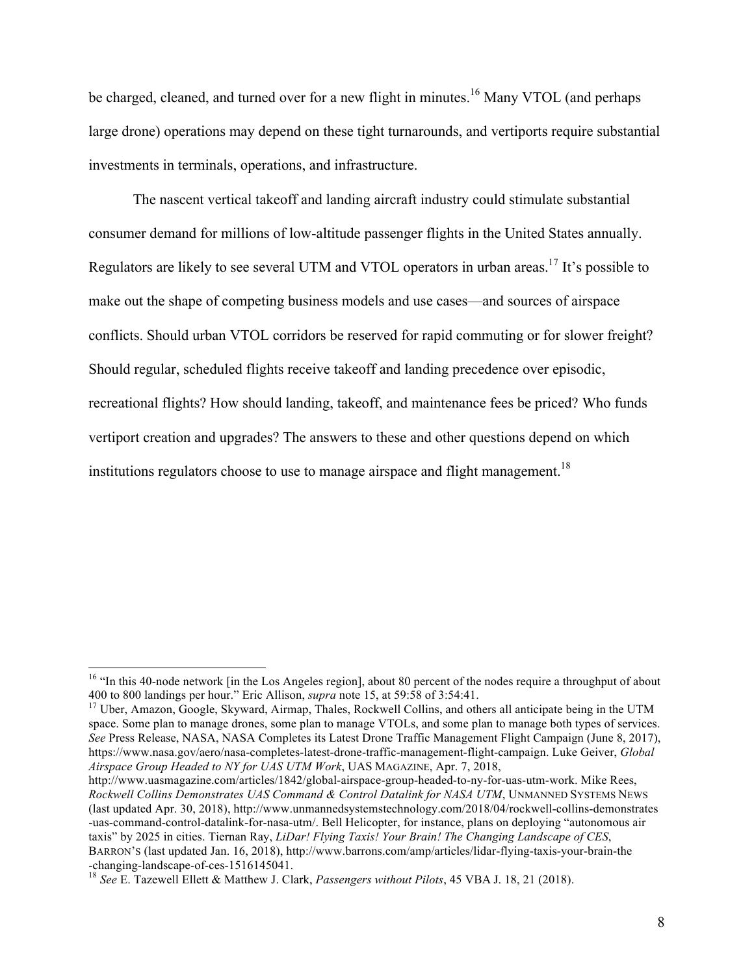be charged, cleaned, and turned over for a new flight in minutes.<sup>16</sup> Many VTOL (and perhaps large drone) operations may depend on these tight turnarounds, and vertiports require substantial investments in terminals, operations, and infrastructure.

The nascent vertical takeoff and landing aircraft industry could stimulate substantial consumer demand for millions of low-altitude passenger flights in the United States annually. Regulators are likely to see several UTM and VTOL operators in urban areas.<sup>17</sup> It's possible to make out the shape of competing business models and use cases—and sources of airspace conflicts. Should urban VTOL corridors be reserved for rapid commuting or for slower freight? Should regular, scheduled flights receive takeoff and landing precedence over episodic, recreational flights? How should landing, takeoff, and maintenance fees be priced? Who funds vertiport creation and upgrades? The answers to these and other questions depend on which institutions regulators choose to use to manage airspace and flight management.<sup>18</sup>

<sup>&</sup>lt;sup>16</sup> "In this 40-node network [in the Los Angeles region], about 80 percent of the nodes require a throughput of about 400 to 800 landings per hour." Eric Allison, *supra* note 15, at 59:58 of 3:54:41.

<sup>&</sup>lt;sup>17</sup> Uber, Amazon, Google, Skyward, Airmap, Thales, Rockwell Collins, and others all anticipate being in the UTM space. Some plan to manage drones, some plan to manage VTOLs, and some plan to manage both types of services. *See* Press Release, NASA, NASA Completes its Latest Drone Traffic Management Flight Campaign (June 8, 2017), https://www.nasa.gov/aero/nasa-completes-latest-drone-traffic-management-flight-campaign. Luke Geiver, *Global Airspace Group Headed to NY for UAS UTM Work*, UAS MAGAZINE, Apr. 7, 2018,

http://www.uasmagazine.com/articles/1842/global-airspace-group-headed-to-ny-for-uas-utm-work. Mike Rees, *Rockwell Collins Demonstrates UAS Command & Control Datalink for NASA UTM*, UNMANNED SYSTEMS NEWS (last updated Apr. 30, 2018), http://www.unmannedsystemstechnology.com/2018/04/rockwell-collins-demonstrates -uas-command-control-datalink-for-nasa-utm/. Bell Helicopter, for instance, plans on deploying "autonomous air taxis" by 2025 in cities. Tiernan Ray, *LiDar! Flying Taxis! Your Brain! The Changing Landscape of CES*, BARRON'S (last updated Jan. 16, 2018), http://www.barrons.com/amp/articles/lidar-flying-taxis-your-brain-the -changing-landscape-of-ces-1516145041. <sup>18</sup> *See* E. Tazewell Ellett & Matthew J. Clark, *Passengers without Pilots*, 45 VBA J. 18, 21 (2018).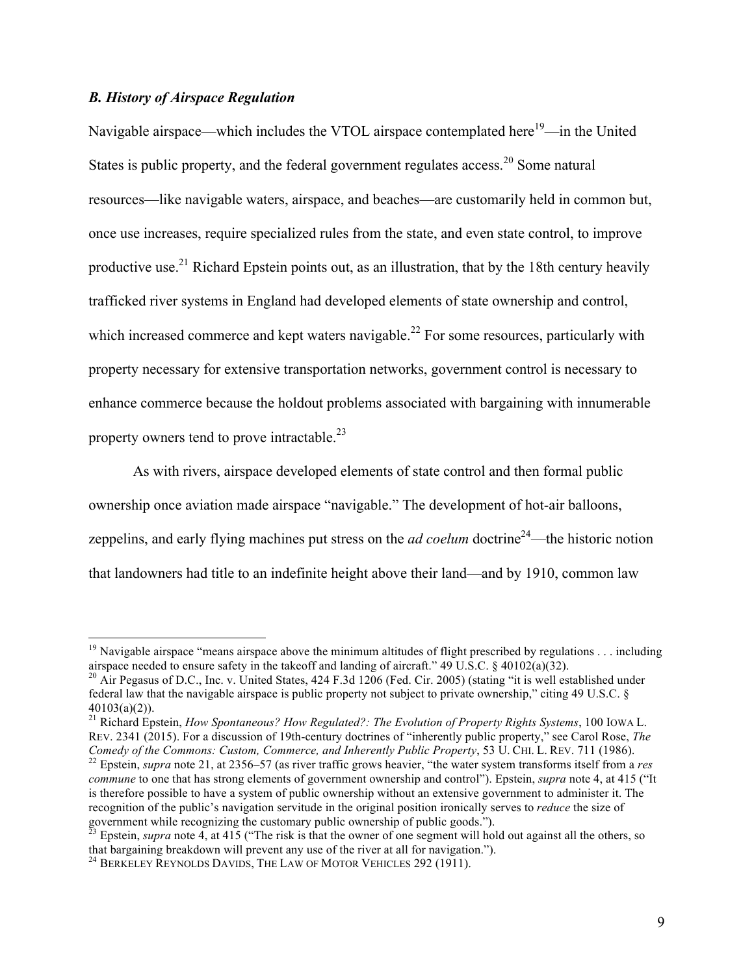# *B. History of Airspace Regulation*

Navigable airspace—which includes the VTOL airspace contemplated here<sup>19</sup>—in the United States is public property, and the federal government regulates access.<sup>20</sup> Some natural resources—like navigable waters, airspace, and beaches—are customarily held in common but, once use increases, require specialized rules from the state, and even state control, to improve productive use.<sup>21</sup> Richard Epstein points out, as an illustration, that by the 18th century heavily trafficked river systems in England had developed elements of state ownership and control, which increased commerce and kept waters navigable.<sup>22</sup> For some resources, particularly with property necessary for extensive transportation networks, government control is necessary to enhance commerce because the holdout problems associated with bargaining with innumerable property owners tend to prove intractable.<sup>23</sup>

As with rivers, airspace developed elements of state control and then formal public ownership once aviation made airspace "navigable." The development of hot-air balloons, zeppelins, and early flying machines put stress on the *ad coelum* doctrine<sup>24</sup>—the historic notion that landowners had title to an indefinite height above their land—and by 1910, common law

<sup>&</sup>lt;sup>19</sup> Navigable airspace "means airspace above the minimum altitudes of flight prescribed by regulations  $\dots$  including airspace needed to ensure safety in the takeoff and landing of aircraft."  $49 \text{ U.S.C.}$  §  $40102(a)(32)$ .

<sup>&</sup>lt;sup>20</sup> Air Pegasus of D.C., Inc. v. United States, 424 F.3d 1206 (Fed. Cir. 2005) (stating "it is well established under federal law that the navigable airspace is public property not subject to private ownership," citing 49 U.S.C. § 40103(a)(2)).

<sup>21</sup> Richard Epstein, *How Spontaneous? How Regulated?: The Evolution of Property Rights Systems*, 100 IOWA L. REV. 2341 (2015). For a discussion of 19th-century doctrines of "inherently public property," see Carol Rose, *The*  Comedy of the Commons: Custom, Commerce, and Inherently Public Property, 53 U. CHI. L. REV. 711 (1986).<br><sup>22</sup> Epstein, *supra* note 21, at 2356–57 (as river traffic grows heavier, "the water system transforms itself from a *commune* to one that has strong elements of government ownership and control"). Epstein, *supra* note 4, at 415 ("It is therefore possible to have a system of public ownership without an extensive government to administer it. The recognition of the public's navigation servitude in the original position ironically serves to *reduce* the size of

government while recognizing the customary public ownership of public goods.").<br><sup>23</sup> Epstein, *supra* note 4, at 415 ("The risk is that the owner of one segment will hold out against all the others, so

that bargaining breakdown will prevent any use of the river at all for navigation."). <sup>24</sup> BERKELEY REYNOLDS DAVIDS, THE LAW OF MOTOR VEHICLES 292 (1911).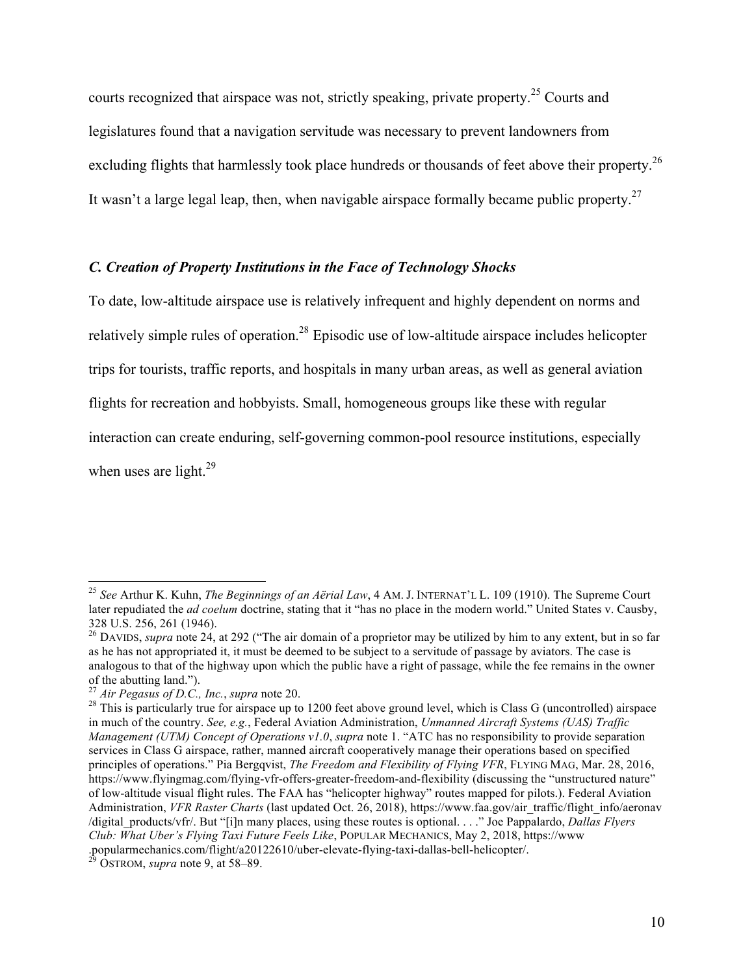courts recognized that airspace was not, strictly speaking, private property.<sup>25</sup> Courts and legislatures found that a navigation servitude was necessary to prevent landowners from excluding flights that harmlessly took place hundreds or thousands of feet above their property.<sup>26</sup> It wasn't a large legal leap, then, when navigable airspace formally became public property.<sup>27</sup>

# *C. Creation of Property Institutions in the Face of Technology Shocks*

To date, low-altitude airspace use is relatively infrequent and highly dependent on norms and relatively simple rules of operation.<sup>28</sup> Episodic use of low-altitude airspace includes helicopter trips for tourists, traffic reports, and hospitals in many urban areas, as well as general aviation flights for recreation and hobbyists. Small, homogeneous groups like these with regular interaction can create enduring, self-governing common-pool resource institutions, especially when uses are light. $^{29}$ 

<sup>25</sup> *See* Arthur K. Kuhn, *The Beginnings of an Aërial Law*, 4 AM. J. INTERNAT'L L. 109 (1910). The Supreme Court later repudiated the *ad coelum* doctrine, stating that it "has no place in the modern world." United States v. Causby, 328 U.S. 256, 261 (1946).

<sup>&</sup>lt;sup>26</sup> DAVIDS, *supra* note 24, at 292 ("The air domain of a proprietor may be utilized by him to any extent, but in so far as he has not appropriated it, it must be deemed to be subject to a servitude of passage by aviators. The case is analogous to that of the highway upon which the public have a right of passage, while the fee remains in the owner of the abutting land.").<br> $^{27}$  *Air Pegasus of D.C., Inc., supra* note 20.

<sup>&</sup>lt;sup>28</sup> This is particularly true for airspace up to 1200 feet above ground level, which is Class G (uncontrolled) airspace in much of the country. *See, e.g.*, Federal Aviation Administration, *Unmanned Aircraft Systems (UAS) Traffic Management (UTM) Concept of Operations v1.0*, *supra* note 1. "ATC has no responsibility to provide separation services in Class G airspace, rather, manned aircraft cooperatively manage their operations based on specified principles of operations." Pia Bergqvist, *The Freedom and Flexibility of Flying VFR*, FLYING MAG, Mar. 28, 2016, https://www.flyingmag.com/flying-vfr-offers-greater-freedom-and-flexibility (discussing the "unstructured nature" of low-altitude visual flight rules. The FAA has "helicopter highway" routes mapped for pilots.). Federal Aviation Administration, *VFR Raster Charts* (last updated Oct. 26, 2018), https://www.faa.gov/air\_traffic/flight\_info/aeronav /digital\_products/vfr/. But "[i]n many places, using these routes is optional. . . ." Joe Pappalardo, *Dallas Flyers Club: What Uber's Flying Taxi Future Feels Like*, POPULAR MECHANICS, May 2, 2018, https://www .popularmechanics.com/flight/a20122610/uber-elevate-flying-taxi-dallas-bell-helicopter/. <sup>29</sup> OSTROM, *supra* note 9, at 58–89.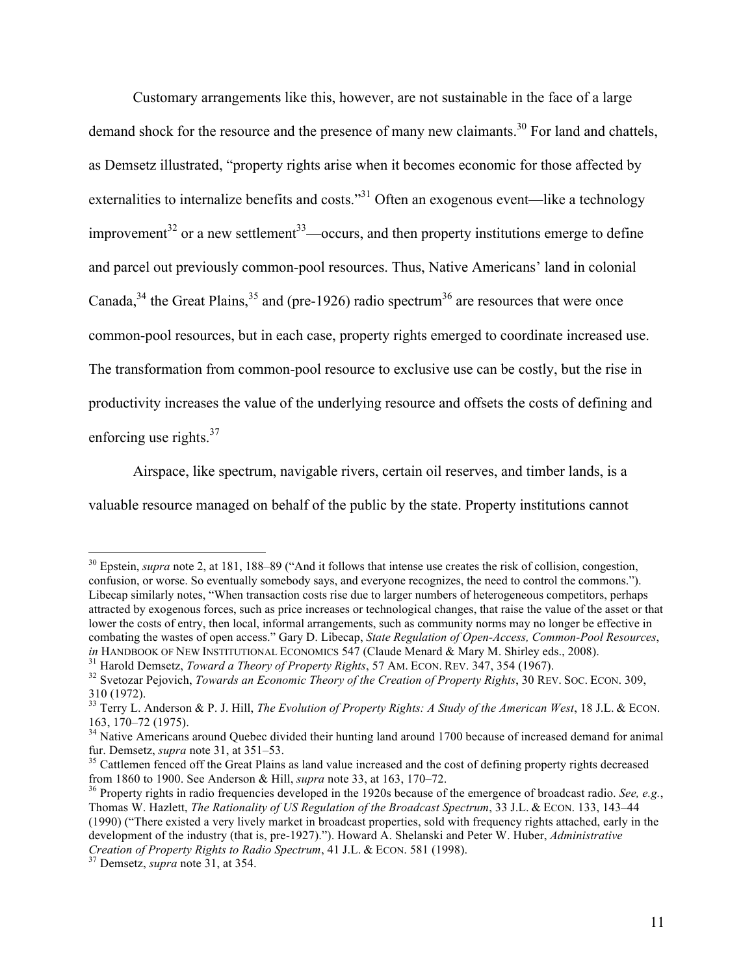Customary arrangements like this, however, are not sustainable in the face of a large demand shock for the resource and the presence of many new claimants.<sup>30</sup> For land and chattels, as Demsetz illustrated, "property rights arise when it becomes economic for those affected by externalities to internalize benefits and costs."<sup>31</sup> Often an exogenous event—like a technology improvement<sup>32</sup> or a new settlement<sup>33</sup>—occurs, and then property institutions emerge to define and parcel out previously common-pool resources. Thus, Native Americans' land in colonial Canada,<sup>34</sup> the Great Plains,<sup>35</sup> and (pre-1926) radio spectrum<sup>36</sup> are resources that were once common-pool resources, but in each case, property rights emerged to coordinate increased use. The transformation from common-pool resource to exclusive use can be costly, but the rise in productivity increases the value of the underlying resource and offsets the costs of defining and enforcing use rights.<sup>37</sup>

Airspace, like spectrum, navigable rivers, certain oil reserves, and timber lands, is a valuable resource managed on behalf of the public by the state. Property institutions cannot

<sup>&</sup>lt;sup>30</sup> Epstein, *supra* note 2, at 181, 188–89 ("And it follows that intense use creates the risk of collision, congestion, confusion, or worse. So eventually somebody says, and everyone recognizes, the need to control the commons."). Libecap similarly notes, "When transaction costs rise due to larger numbers of heterogeneous competitors, perhaps attracted by exogenous forces, such as price increases or technological changes, that raise the value of the asset or that lower the costs of entry, then local, informal arrangements, such as community norms may no longer be effective in combating the wastes of open access." Gary D. Libecap, *State Regulation of Open-Access, Common-Pool Resources, in* HANDBOOK OF NEW INSTITUTIONAL ECONOMICS 547 (Claude Menard & Mary M. Shirley eds., 2008).

 $^{31}$  Harold Demsetz, *Toward a Theory of Property Rights*, 57 AM. ECON. REV. 347, 354 (1967).<br><sup>32</sup> Svetozar Pejovich. *Towards an Economic Theory of the Creation of Property Rights*, 30 REV. SOC. ECON. 309.

<sup>310 (1972).</sup>

<sup>&</sup>lt;sup>33</sup> Terry L. Anderson & P. J. Hill, *The Evolution of Property Rights: A Study of the American West*, 18 J.L. & ECON.<br>163, 170–72 (1975).

<sup>&</sup>lt;sup>34</sup> Native Americans around Quebec divided their hunting land around 1700 because of increased demand for animal

fur. Demsetz, *supra* note 31, at 351–53.<br><sup>35</sup> Cattlemen fenced off the Great Plains as land value increased and the cost of defining property rights decreased<br>from 1860 to 1900. See Anderson & Hill, *supra* note 33, at 16

<sup>&</sup>lt;sup>36</sup> Property rights in radio frequencies developed in the 1920s because of the emergence of broadcast radio. *See, e.g.*, Thomas W. Hazlett, *The Rationality of US Regulation of the Broadcast Spectrum*, 33 J.L. & ECON. 133, 143–44 (1990) ("There existed a very lively market in broadcast properties, sold with frequency rights attached, early in the development of the industry (that is, pre-1927)."). Howard A. Shelanski and Peter W. Huber, *Administrative Creation of Property Rights to Radio Spectrum*, 41 J.L. & ECON. 581 (1998). <sup>37</sup> Demsetz, *supra* note 31, at 354.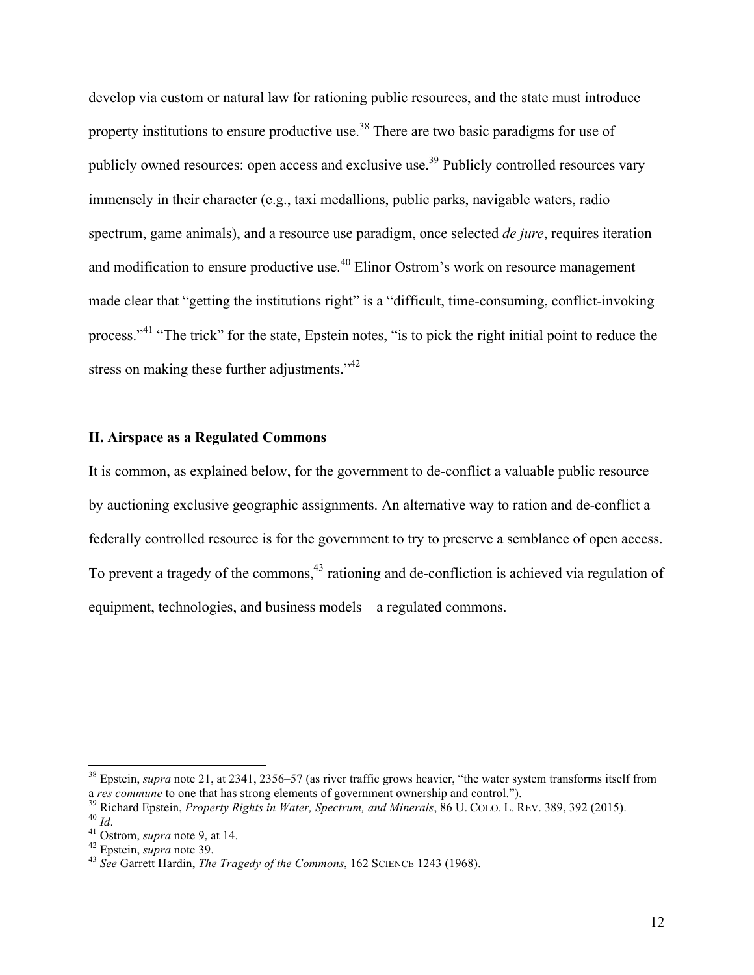develop via custom or natural law for rationing public resources, and the state must introduce property institutions to ensure productive use.<sup>38</sup> There are two basic paradigms for use of publicly owned resources: open access and exclusive use.<sup>39</sup> Publicly controlled resources vary immensely in their character (e.g., taxi medallions, public parks, navigable waters, radio spectrum, game animals), and a resource use paradigm, once selected *de jure*, requires iteration and modification to ensure productive use.<sup>40</sup> Elinor Ostrom's work on resource management made clear that "getting the institutions right" is a "difficult, time-consuming, conflict-invoking process."<sup>41</sup> "The trick" for the state, Epstein notes, "is to pick the right initial point to reduce the stress on making these further adjustments."<sup>42</sup>

# **II. Airspace as a Regulated Commons**

It is common, as explained below, for the government to de-conflict a valuable public resource by auctioning exclusive geographic assignments. An alternative way to ration and de-conflict a federally controlled resource is for the government to try to preserve a semblance of open access. To prevent a tragedy of the commons,<sup>43</sup> rationing and de-confliction is achieved via regulation of equipment, technologies, and business models—a regulated commons.

 $38$  Epstein, *supra* note 21, at 2341, 2356–57 (as river traffic grows heavier, "the water system transforms itself from a *res commune* to one that has strong elements of government ownership and control.").

<sup>&</sup>lt;sup>39</sup> Richard Epstein, *Property Rights in Water, Spectrum, and Minerals*, 86 U. COLO. L. REV. 389, 392 (2015).<br><sup>40</sup> *Id.*<br><sup>41</sup> Ostrom, *supra* note 9, at 14.<br><sup>42</sup> Epstein, *supra* note 39.<br><sup>43</sup> See Garrett Hardin, *The Tr*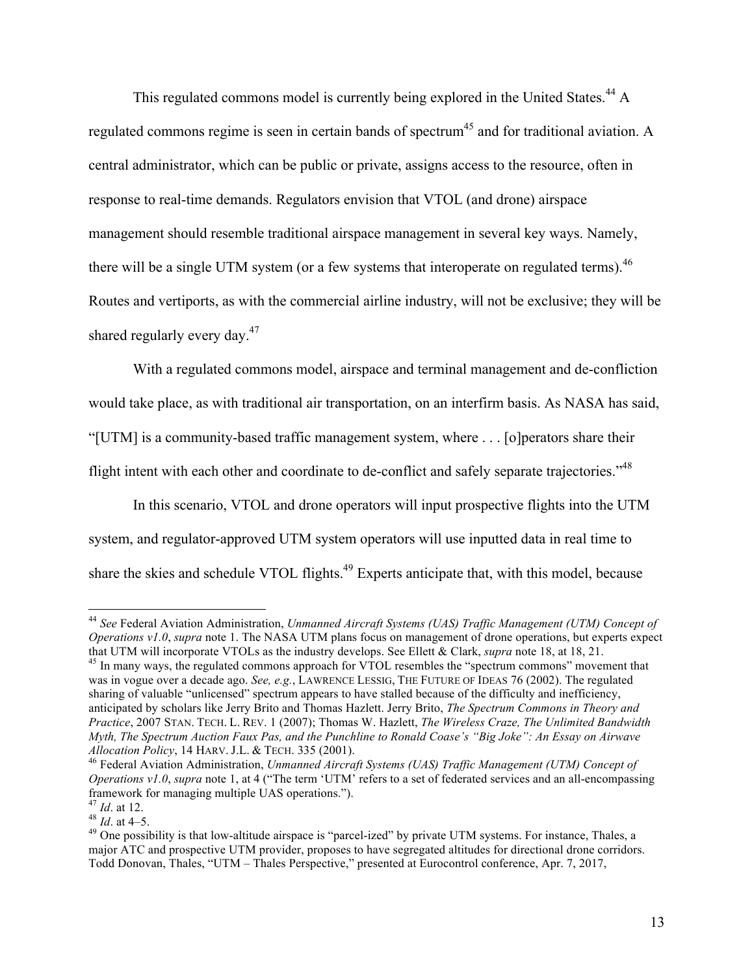This regulated commons model is currently being explored in the United States.<sup>44</sup> A regulated commons regime is seen in certain bands of spectrum<sup>45</sup> and for traditional aviation. A central administrator, which can be public or private, assigns access to the resource, often in response to real-time demands. Regulators envision that VTOL (and drone) airspace management should resemble traditional airspace management in several key ways. Namely, there will be a single UTM system (or a few systems that interoperate on regulated terms).<sup>46</sup> Routes and vertiports, as with the commercial airline industry, will not be exclusive; they will be shared regularly every day.<sup>47</sup>

With a regulated commons model, airspace and terminal management and de-confliction would take place, as with traditional air transportation, on an interfirm basis. As NASA has said, "[UTM] is a community-based traffic management system, where . . . [o]perators share their flight intent with each other and coordinate to de-conflict and safely separate trajectories."<sup>48</sup>

In this scenario, VTOL and drone operators will input prospective flights into the UTM system, and regulator-approved UTM system operators will use inputted data in real time to share the skies and schedule VTOL flights.<sup>49</sup> Experts anticipate that, with this model, because

<sup>44</sup> *See* Federal Aviation Administration, *Unmanned Aircraft Systems (UAS) Traffic Management (UTM) Concept of Operations v1.0, supra* note 1. The NASA UTM plans focus on management of drone operations, but experts expect that UTM will incorporate VTOLs as the industry develops. See Ellett & Clark, *supra* note 18, at 18, 21.

<sup>&</sup>lt;sup>45</sup> In many ways, the regulated commons approach for VTOL resembles the "spectrum commons" movement that was in vogue over a decade ago. *See, e.g.*, LAWRENCE LESSIG, THE FUTURE OF IDEAS 76 (2002). The regulated sharing of valuable "unlicensed" spectrum appears to have stalled because of the difficulty and inefficiency, anticipated by scholars like Jerry Brito and Thomas Hazlett. Jerry Brito, *The Spectrum Commons in Theory and Practice*, 2007 STAN. TECH. L. REV. 1 (2007); Thomas W. Hazlett, *The Wireless Craze, The Unlimited Bandwidth Myth, The Spectrum Auction Faux Pas, and the Punchline to Ronald Coase's "Big Joke": An Essay on Airwave* 

*Allocation Policy*, 14 HARV. J.L. & TECH. 335 (2001).<br><sup>46</sup> Federal Aviation Administration, *Unmanned Aircraft Systems (UAS) Traffic Management (UTM) Concept of Operations v1.0*, *supra* note 1, at 4 ("The term 'UTM' refers to a set of federated services and an all-encompassing framework for managing multiple UAS operations.").<br> $^{47}$  *Id.* at 12.<br> $^{48}$  *Id.* at 4–5.

<sup>&</sup>lt;sup>49</sup> One possibility is that low-altitude airspace is "parcel-ized" by private UTM systems. For instance, Thales, a major ATC and prospective UTM provider, proposes to have segregated altitudes for directional drone corridors. Todd Donovan, Thales, "UTM – Thales Perspective," presented at Eurocontrol conference, Apr. 7, 2017,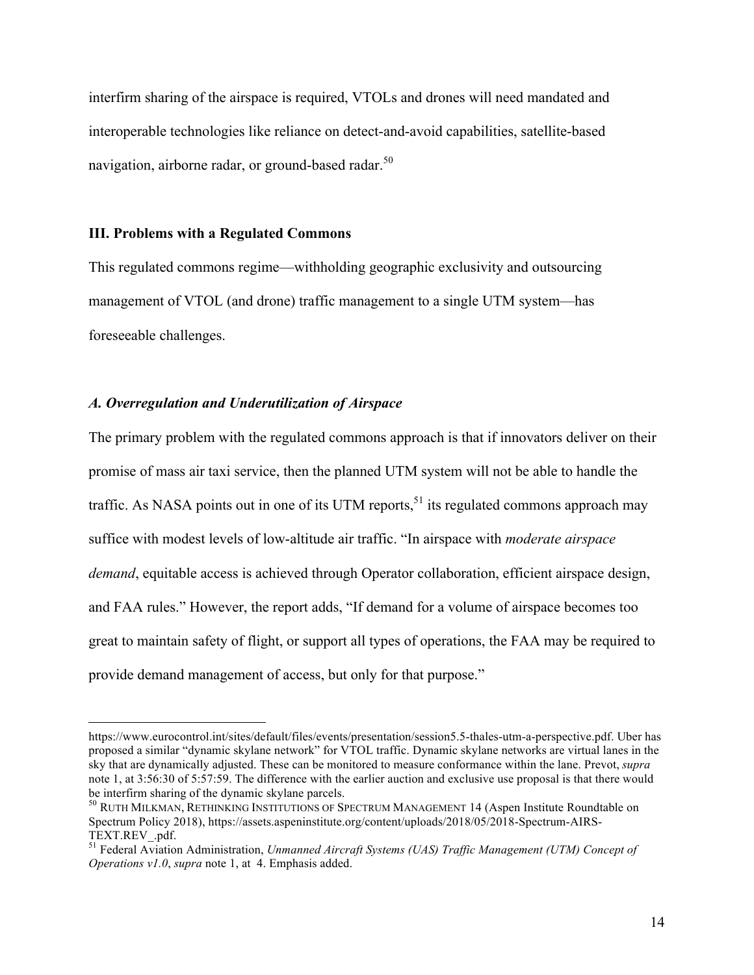interfirm sharing of the airspace is required, VTOLs and drones will need mandated and interoperable technologies like reliance on detect-and-avoid capabilities, satellite-based navigation, airborne radar, or ground-based radar.<sup>50</sup>

#### **III. Problems with a Regulated Commons**

This regulated commons regime—withholding geographic exclusivity and outsourcing management of VTOL (and drone) traffic management to a single UTM system—has foreseeable challenges.

#### *A. Overregulation and Underutilization of Airspace*

 $\overline{a}$ 

The primary problem with the regulated commons approach is that if innovators deliver on their promise of mass air taxi service, then the planned UTM system will not be able to handle the traffic. As NASA points out in one of its UTM reports,<sup>51</sup> its regulated commons approach may suffice with modest levels of low-altitude air traffic. "In airspace with *moderate airspace demand*, equitable access is achieved through Operator collaboration, efficient airspace design, and FAA rules." However, the report adds, "If demand for a volume of airspace becomes too great to maintain safety of flight, or support all types of operations, the FAA may be required to provide demand management of access, but only for that purpose."

https://www.eurocontrol.int/sites/default/files/events/presentation/session5.5-thales-utm-a-perspective.pdf. Uber has proposed a similar "dynamic skylane network" for VTOL traffic. Dynamic skylane networks are virtual lanes in the sky that are dynamically adjusted. These can be monitored to measure conformance within the lane. Prevot, *supra*  note 1, at 3:56:30 of 5:57:59. The difference with the earlier auction and exclusive use proposal is that there would be interfirm sharing of the dynamic skylane parcels.

<sup>&</sup>lt;sup>50</sup> RUTH MILKMAN, RETHINKING INSTITUTIONS OF SPECTRUM MANAGEMENT 14 (Aspen Institute Roundtable on Spectrum Policy 2018), https://assets.aspeninstitute.org/content/uploads/2018/05/2018-Spectrum-AIRS-TEXT.REV\_.pdf. <sup>51</sup> Federal Aviation Administration, *Unmanned Aircraft Systems (UAS) Traffic Management (UTM) Concept of* 

*Operations v1.0*, *supra* note 1, at 4. Emphasis added.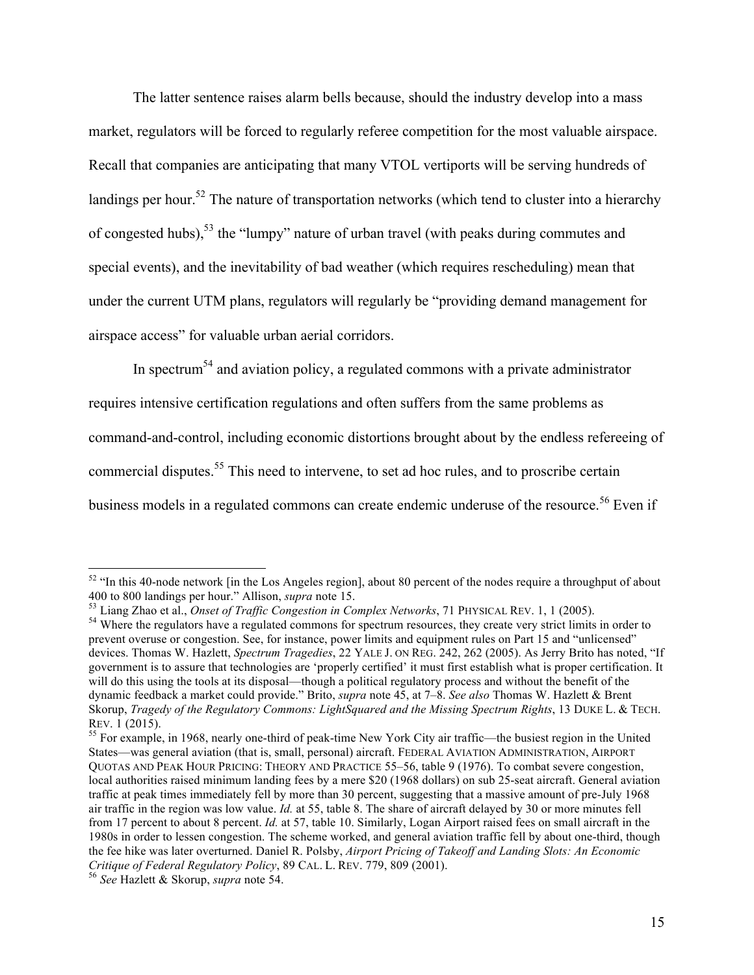The latter sentence raises alarm bells because, should the industry develop into a mass market, regulators will be forced to regularly referee competition for the most valuable airspace. Recall that companies are anticipating that many VTOL vertiports will be serving hundreds of landings per hour.<sup>52</sup> The nature of transportation networks (which tend to cluster into a hierarchy of congested hubs),<sup>53</sup> the "lumpy" nature of urban travel (with peaks during commutes and special events), and the inevitability of bad weather (which requires rescheduling) mean that under the current UTM plans, regulators will regularly be "providing demand management for airspace access" for valuable urban aerial corridors.

In spectrum<sup>54</sup> and aviation policy, a regulated commons with a private administrator

requires intensive certification regulations and often suffers from the same problems as

command-and-control, including economic distortions brought about by the endless refereeing of

commercial disputes.<sup>55</sup> This need to intervene, to set ad hoc rules, and to proscribe certain

business models in a regulated commons can create endemic underuse of the resource.<sup>56</sup> Even if

<sup>&</sup>lt;sup>52</sup> "In this 40-node network [in the Los Angeles region], about 80 percent of the nodes require a throughput of about 400 to 800 landings per hour." Allison, *supra* note 15.

 $^{53}$  Liang Zhao et al., *Onset of Traffic Congestion in Complex Networks*, 71 PHYSICAL REV. 1, 1 (2005).<br><sup>54</sup> Where the regulators have a regulated commons for spectrum resources, they create very strict limits in order prevent overuse or congestion. See, for instance, power limits and equipment rules on Part 15 and "unlicensed" devices. Thomas W. Hazlett, *Spectrum Tragedies*, 22 YALE J. ON REG. 242, 262 (2005). As Jerry Brito has noted, "If government is to assure that technologies are 'properly certified' it must first establish what is proper certification. It will do this using the tools at its disposal—though a political regulatory process and without the benefit of the dynamic feedback a market could provide." Brito, *supra* note 45, at 7–8. *See also* Thomas W. Hazlett & Brent Skorup, *Tragedy of the Regulatory Commons: LightSquared and the Missing Spectrum Rights*, 13 DUKE L. & TECH. REV. 1 (2015).<br><sup>55</sup> For example, in 1968, nearly one-third of peak-time New York City air traffic—the busiest region in the United

States—was general aviation (that is, small, personal) aircraft. FEDERAL AVIATION ADMINISTRATION, AIRPORT QUOTAS AND PEAK HOUR PRICING: THEORY AND PRACTICE 55–56, table 9 (1976). To combat severe congestion, local authorities raised minimum landing fees by a mere \$20 (1968 dollars) on sub 25-seat aircraft. General aviation traffic at peak times immediately fell by more than 30 percent, suggesting that a massive amount of pre-July 1968 air traffic in the region was low value. *Id.* at 55, table 8. The share of aircraft delayed by 30 or more minutes fell from 17 percent to about 8 percent. *Id.* at 57, table 10. Similarly, Logan Airport raised fees on small aircraft in the 1980s in order to lessen congestion. The scheme worked, and general aviation traffic fell by about one-third, though the fee hike was later overturned. Daniel R. Polsby, *Airport Pricing of Takeoff and Landing Slots: An Economic Critique of Federal Regulatory Policy*, 89 CAL. L. REV. 779, 809 (2001). 56 *See* Hazlett & Skorup, *supra* note 54.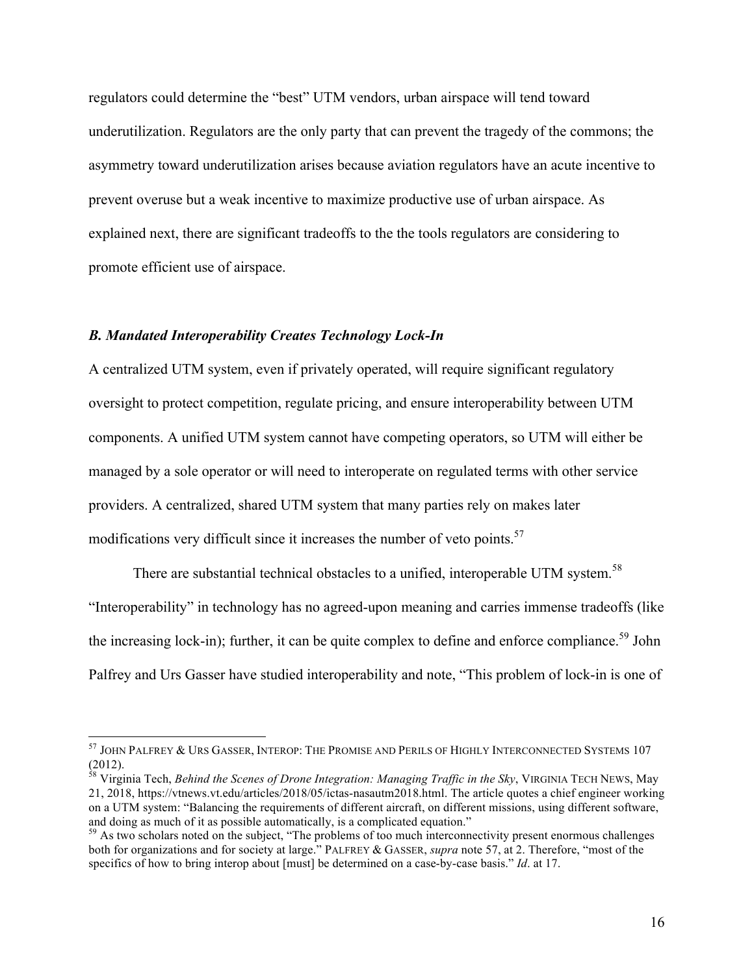regulators could determine the "best" UTM vendors, urban airspace will tend toward underutilization. Regulators are the only party that can prevent the tragedy of the commons; the asymmetry toward underutilization arises because aviation regulators have an acute incentive to prevent overuse but a weak incentive to maximize productive use of urban airspace. As explained next, there are significant tradeoffs to the the tools regulators are considering to promote efficient use of airspace.

# *B. Mandated Interoperability Creates Technology Lock-In*

A centralized UTM system, even if privately operated, will require significant regulatory oversight to protect competition, regulate pricing, and ensure interoperability between UTM components. A unified UTM system cannot have competing operators, so UTM will either be managed by a sole operator or will need to interoperate on regulated terms with other service providers. A centralized, shared UTM system that many parties rely on makes later modifications very difficult since it increases the number of veto points. $57$ 

There are substantial technical obstacles to a unified, interoperable UTM system.<sup>58</sup> "Interoperability" in technology has no agreed-upon meaning and carries immense tradeoffs (like the increasing lock-in); further, it can be quite complex to define and enforce compliance.<sup>59</sup> John Palfrey and Urs Gasser have studied interoperability and note, "This problem of lock-in is one of

<sup>57</sup> JOHN PALFREY & URS GASSER, INTEROP: THE PROMISE AND PERILS OF HIGHLY INTERCONNECTED SYSTEMS <sup>107</sup> (2012).

<sup>58</sup> Virginia Tech, *Behind the Scenes of Drone Integration: Managing Traffic in the Sky*, VIRGINIA TECH NEWS, May 21, 2018, https://vtnews.vt.edu/articles/2018/05/ictas-nasautm2018.html. The article quotes a chief engineer working on a UTM system: "Balancing the requirements of different aircraft, on different missions, using different software, and doing as much of it as possible automatically, is a complicated equation."

<sup>&</sup>lt;sup>59</sup> As two scholars noted on the subject, "The problems of too much interconnectivity present enormous challenges both for organizations and for society at large." PALFREY & GASSER, *supra* note 57, at 2. Therefore, "most of the specifics of how to bring interop about [must] be determined on a case-by-case basis." *Id*. at 17.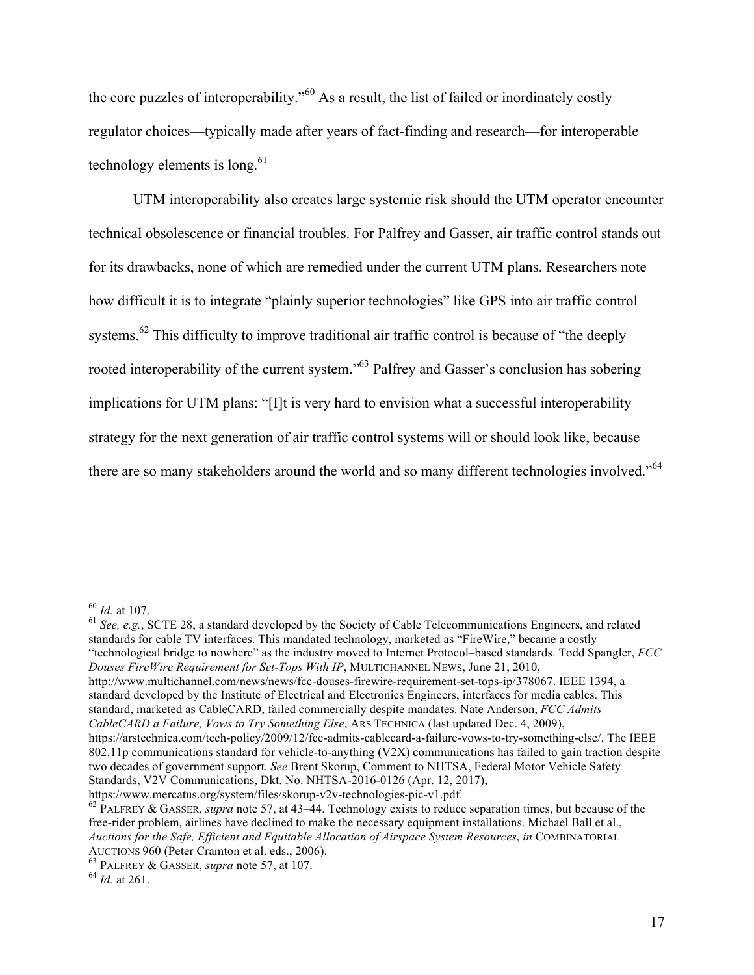the core puzzles of interoperability."<sup>60</sup> As a result, the list of failed or inordinately costly regulator choices—typically made after years of fact-finding and research—for interoperable technology elements is long. $61$ 

UTM interoperability also creates large systemic risk should the UTM operator encounter technical obsolescence or financial troubles. For Palfrey and Gasser, air traffic control stands out for its drawbacks, none of which are remedied under the current UTM plans. Researchers note how difficult it is to integrate "plainly superior technologies" like GPS into air traffic control systems.<sup>62</sup> This difficulty to improve traditional air traffic control is because of "the deeply" rooted interoperability of the current system."<sup>63</sup> Palfrey and Gasser's conclusion has sobering implications for UTM plans: "[I]t is very hard to envision what a successful interoperability strategy for the next generation of air traffic control systems will or should look like, because there are so many stakeholders around the world and so many different technologies involved."<sup>64</sup>

<sup>60</sup> *Id.* at 107.<br><sup>61</sup> *See, e.g.*, SCTE 28, a standard developed by the Society of Cable Telecommunications Engineers, and related standards for cable TV interfaces. This mandated technology, marketed as "FireWire," became a costly "technological bridge to nowhere" as the industry moved to Internet Protocol–based standards. Todd Spangler, *FCC Douses FireWire Requirement for Set-Tops With IP*, MULTICHANNEL NEWS, June 21, 2010, http://www.multichannel.com/news/news/fcc-douses-firewire-requirement-set-tops-ip/378067. IEEE 1394, a

standard developed by the Institute of Electrical and Electronics Engineers, interfaces for media cables. This standard, marketed as CableCARD, failed commercially despite mandates. Nate Anderson, *FCC Admits CableCARD a Failure, Vows to Try Something Else*, ARS TECHNICA (last updated Dec. 4, 2009),

https://arstechnica.com/tech-policy/2009/12/fcc-admits-cablecard-a-failure-vows-to-try-something-else/. The IEEE 802.11p communications standard for vehicle-to-anything (V2X) communications has failed to gain traction despite two decades of government support. *See* Brent Skorup, Comment to NHTSA, Federal Motor Vehicle Safety Standards, V2V Communications, Dkt. No. NHTSA-2016-0126 (Apr. 12, 2017), https://www.mercatus.org/system/files/skorup-v2v-technologies-pic-v1.pdf.

 $h^2$  PALFREY & GASSER, *supra* note 57, at 43–44. Technology exists to reduce separation times, but because of the free-rider problem, airlines have declined to make the necessary equipment installations. Michael Ball et al., *Auctions for the Safe, Efficient and Equitable Allocation of Airspace System Resources*, *in* COMBINATORIAL

<sup>&</sup>lt;sup>63</sup> PALFREY & GASSER, *supra* note 57, at 107. <sup>64</sup> *Id.* at 261.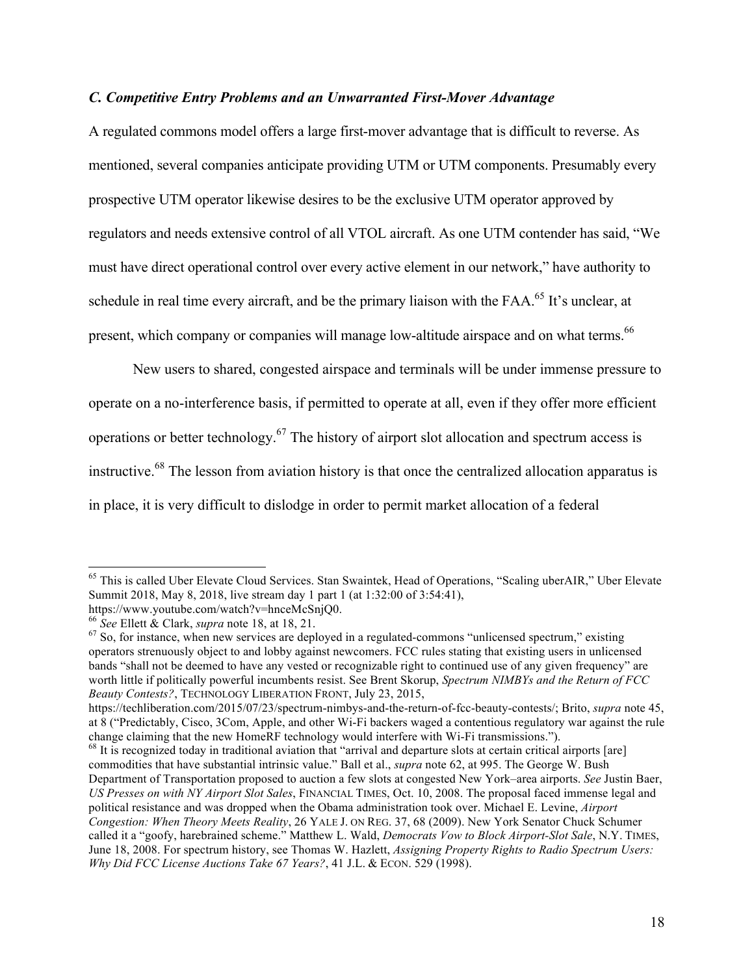#### *C. Competitive Entry Problems and an Unwarranted First-Mover Advantage*

A regulated commons model offers a large first-mover advantage that is difficult to reverse. As mentioned, several companies anticipate providing UTM or UTM components. Presumably every prospective UTM operator likewise desires to be the exclusive UTM operator approved by regulators and needs extensive control of all VTOL aircraft. As one UTM contender has said, "We must have direct operational control over every active element in our network," have authority to schedule in real time every aircraft, and be the primary liaison with the FAA.<sup>65</sup> It's unclear, at present, which company or companies will manage low-altitude airspace and on what terms.<sup>66</sup>

New users to shared, congested airspace and terminals will be under immense pressure to operate on a no-interference basis, if permitted to operate at all, even if they offer more efficient operations or better technology.<sup>67</sup> The history of airport slot allocation and spectrum access is instructive.<sup>68</sup> The lesson from aviation history is that once the centralized allocation apparatus is in place, it is very difficult to dislodge in order to permit market allocation of a federal

<sup>66</sup> See Ellett & Clark, *supra* note 18, at 18, 21. **69** See Ellett & Clark, *supra* note 18, at 18, 21. **67** So, for instance, when new services are deployed in a regulated-commons "unlicensed spectrum," existing operators strenuously object to and lobby against newcomers. FCC rules stating that existing users in unlicensed bands "shall not be deemed to have any vested or recognizable right to continued use of any given frequency" are worth little if politically powerful incumbents resist. See Brent Skorup, *Spectrum NIMBYs and the Return of FCC Beauty Contests?*, TECHNOLOGY LIBERATION FRONT, July 23, 2015,

commodities that have substantial intrinsic value." Ball et al., *supra* note 62, at 995. The George W. Bush Department of Transportation proposed to auction a few slots at congested New York–area airports. *See* Justin Baer, *US Presses on with NY Airport Slot Sales*, FINANCIAL TIMES, Oct. 10, 2008. The proposal faced immense legal and political resistance and was dropped when the Obama administration took over. Michael E. Levine, *Airport Congestion: When Theory Meets Reality*, 26 YALE J. ON REG. 37, 68 (2009). New York Senator Chuck Schumer called it a "goofy, harebrained scheme." Matthew L. Wald, *Democrats Vow to Block Airport-Slot Sale*, N.Y. TIMES, June 18, 2008. For spectrum history, see Thomas W. Hazlett, *Assigning Property Rights to Radio Spectrum Users: Why Did FCC License Auctions Take 67 Years?*, 41 J.L. & ECON. 529 (1998).

<sup>&</sup>lt;sup>65</sup> This is called Uber Elevate Cloud Services. Stan Swaintek, Head of Operations, "Scaling uberAIR," Uber Elevate Summit 2018, May 8, 2018, live stream day 1 part 1 (at 1:32:00 of 3:54:41), https://www.youtube.com/watch?v=hnceMcSnjQ0.

https://techliberation.com/2015/07/23/spectrum-nimbys-and-the-return-of-fcc-beauty-contests/; Brito, *supra* note 45, at 8 ("Predictably, Cisco, 3Com, Apple, and other Wi-Fi backers waged a contentious regulatory war against the rule change claiming that the new HomeRF technology would interfere with Wi-Fi transmissions.").<br><sup>68</sup> It is recognized today in traditional aviation that "arrival and departure slots at certain critical airports [are]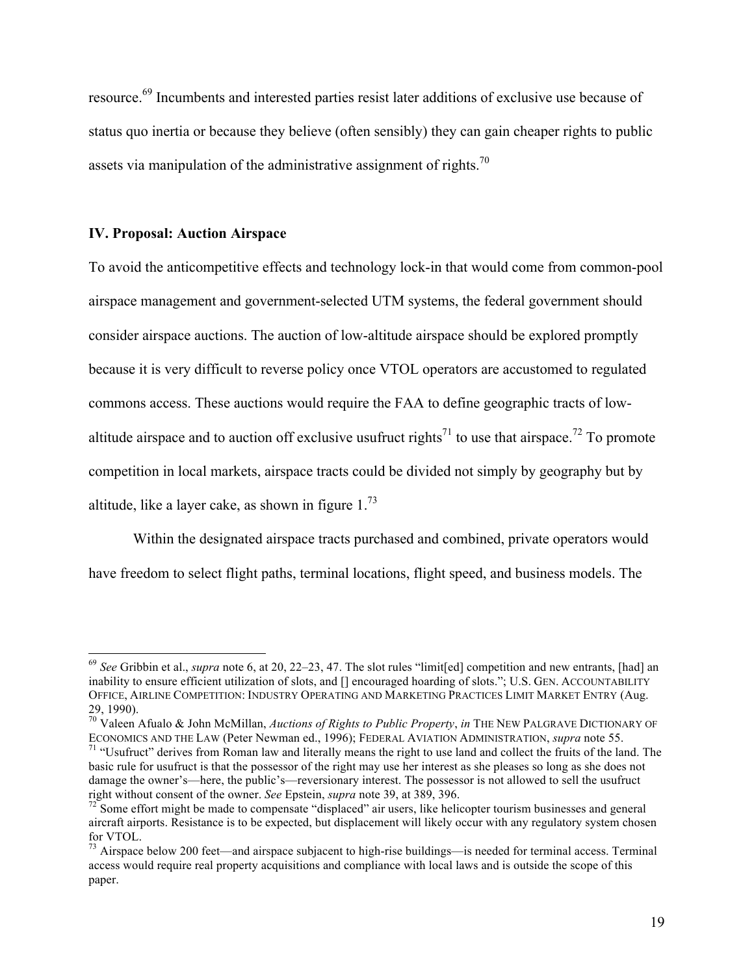resource.<sup>69</sup> Incumbents and interested parties resist later additions of exclusive use because of status quo inertia or because they believe (often sensibly) they can gain cheaper rights to public assets via manipulation of the administrative assignment of rights.<sup>70</sup>

# **IV. Proposal: Auction Airspace**

To avoid the anticompetitive effects and technology lock-in that would come from common-pool airspace management and government-selected UTM systems, the federal government should consider airspace auctions. The auction of low-altitude airspace should be explored promptly because it is very difficult to reverse policy once VTOL operators are accustomed to regulated commons access. These auctions would require the FAA to define geographic tracts of lowaltitude airspace and to auction off exclusive usufruct rights<sup>71</sup> to use that airspace.<sup>72</sup> To promote competition in local markets, airspace tracts could be divided not simply by geography but by altitude, like a layer cake, as shown in figure  $1.^{73}$ 

Within the designated airspace tracts purchased and combined, private operators would have freedom to select flight paths, terminal locations, flight speed, and business models. The

<sup>69</sup> *See* Gribbin et al., *supra* note 6, at 20, 22–23, 47. The slot rules "limit[ed] competition and new entrants, [had] an inability to ensure efficient utilization of slots, and [] encouraged hoarding of slots."; U.S. GEN. ACCOUNTABILITY OFFICE, AIRLINE COMPETITION: INDUSTRY OPERATING AND MARKETING PRACTICES LIMIT MARKET ENTRY (Aug. 29, 1990).

<sup>27, 1990).&</sup>lt;br><sup>70</sup> Valeen Afualo & John McMillan, *Auctions of Rights to Public Property*, *in* THE NEW PALGRAVE DICTIONARY OF ECONOMICS AND THE LAW (Peter Newman ed., 1996); FEDERAL AVIATION ADMINISTRATION, *supra* note 55.

<sup>&</sup>lt;sup>71</sup> "Usufruct" derives from Roman law and literally means the right to use land and collect the fruits of the land. The basic rule for usufruct is that the possessor of the right may use her interest as she pleases so long as she does not damage the owner's—here, the public's—reversionary interest. The possessor is not allowed to sell the usufruct right without consent of the owner. See Epstein, *supra* note 39, at 389, 396.

 $\frac{72}{2}$  Some effort might be made to compensate "displaced" air users, like helicopter tourism businesses and general aircraft airports. Resistance is to be expected, but displacement will likely occur with any regulatory system chosen for VTOL.

 $^{73}$  Airspace below 200 feet—and airspace subjacent to high-rise buildings—is needed for terminal access. Terminal access would require real property acquisitions and compliance with local laws and is outside the scope of this paper.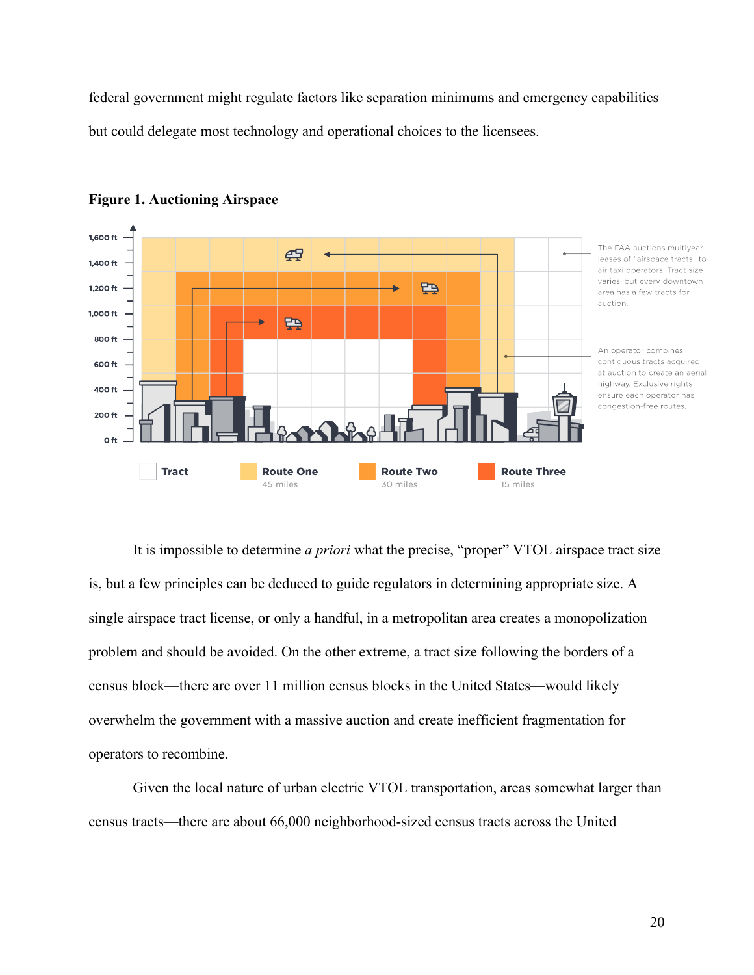federal government might regulate factors like separation minimums and emergency capabilities

but could delegate most technology and operational choices to the licensees.





It is impossible to determine *a priori* what the precise, "proper" VTOL airspace tract size is, but a few principles can be deduced to guide regulators in determining appropriate size. A single airspace tract license, or only a handful, in a metropolitan area creates a monopolization problem and should be avoided. On the other extreme, a tract size following the borders of a census block—there are over 11 million census blocks in the United States—would likely overwhelm the government with a massive auction and create inefficient fragmentation for operators to recombine.

Given the local nature of urban electric VTOL transportation, areas somewhat larger than census tracts—there are about 66,000 neighborhood-sized census tracts across the United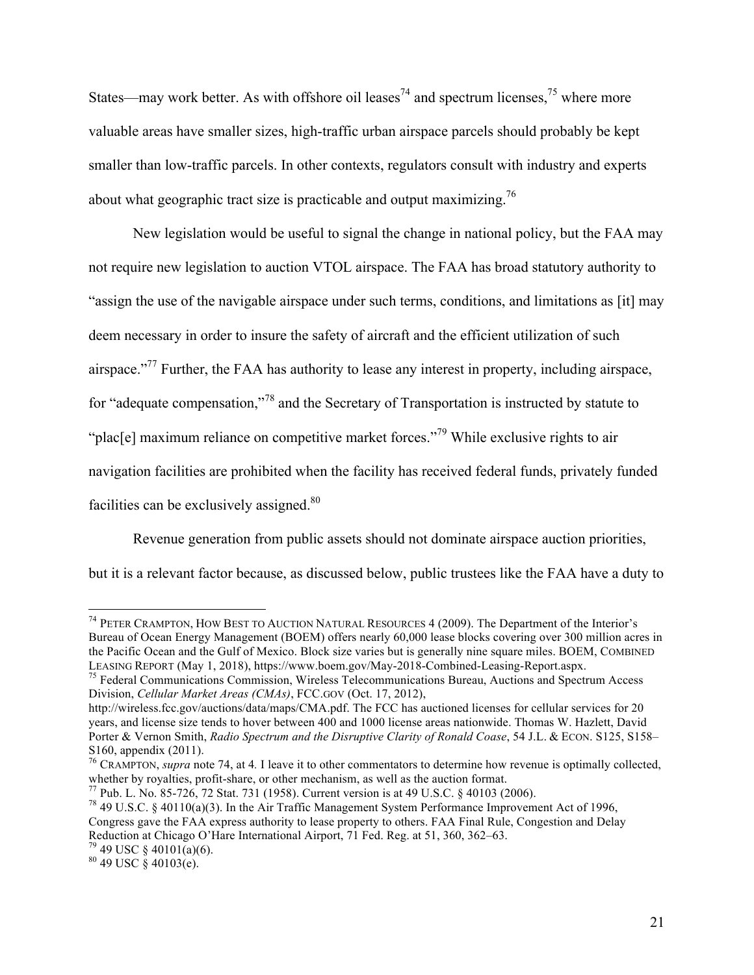States—may work better. As with offshore oil leases<sup>74</sup> and spectrum licenses,<sup>75</sup> where more valuable areas have smaller sizes, high-traffic urban airspace parcels should probably be kept smaller than low-traffic parcels. In other contexts, regulators consult with industry and experts about what geographic tract size is practicable and output maximizing.<sup>76</sup>

New legislation would be useful to signal the change in national policy, but the FAA may not require new legislation to auction VTOL airspace. The FAA has broad statutory authority to "assign the use of the navigable airspace under such terms, conditions, and limitations as [it] may deem necessary in order to insure the safety of aircraft and the efficient utilization of such airspace."77 Further, the FAA has authority to lease any interest in property, including airspace, for "adequate compensation,"<sup>78</sup> and the Secretary of Transportation is instructed by statute to "plac[e] maximum reliance on competitive market forces."<sup>79</sup> While exclusive rights to air navigation facilities are prohibited when the facility has received federal funds, privately funded facilities can be exclusively assigned.<sup>80</sup>

Revenue generation from public assets should not dominate airspace auction priorities,

but it is a relevant factor because, as discussed below, public trustees like the FAA have a duty to

<sup>&</sup>lt;sup>74</sup> PETER CRAMPTON, HOW BEST TO AUCTION NATURAL RESOURCES 4 (2009). The Department of the Interior's Bureau of Ocean Energy Management (BOEM) offers nearly 60,000 lease blocks covering over 300 million acres in the Pacific Ocean and the Gulf of Mexico. Block size varies but is generally nine square miles. BOEM, COMBINED LEASING REPORT (May 1, 2018), https://www.boem.gov/May-2018-Combined-Leasing-Report.aspx. <sup>75</sup> Federal Communications Commission, Wireless Telecommunications Bureau, Auctions and Spectrum Access

Division, *Cellular Market Areas (CMAs)*, FCC.GOV (Oct. 17, 2012),

http://wireless.fcc.gov/auctions/data/maps/CMA.pdf. The FCC has auctioned licenses for cellular services for 20 years, and license size tends to hover between 400 and 1000 license areas nationwide. Thomas W. Hazlett, David Porter & Vernon Smith, *Radio Spectrum and the Disruptive Clarity of Ronald Coase*, 54 J.L. & ECON. S125, S158– S160, appendix (2011).

<sup>76</sup> CRAMPTON, *supra* note 74, at 4*.* I leave it to other commentators to determine how revenue is optimally collected,

<sup>&</sup>lt;sup>77</sup> Pub. L. No. 85-726, 72 Stat. 731 (1958). Current version is at 49 U.S.C. § 40103 (2006).<br><sup>78</sup> 49 U.S.C. § 40110(a)(3). In the Air Traffic Management System Performance Improvement Act of 1996, Congress gave the FAA express authority to lease property to others. FAA Final Rule, Congestion and Delay Reduction at Chicago O'Hare International Airport, 71 Fed. Reg. at 51, 360, 362–63. <sup>79</sup> 49 USC § 40101(a)(6). <sup>80</sup> 49 USC § 40103(e).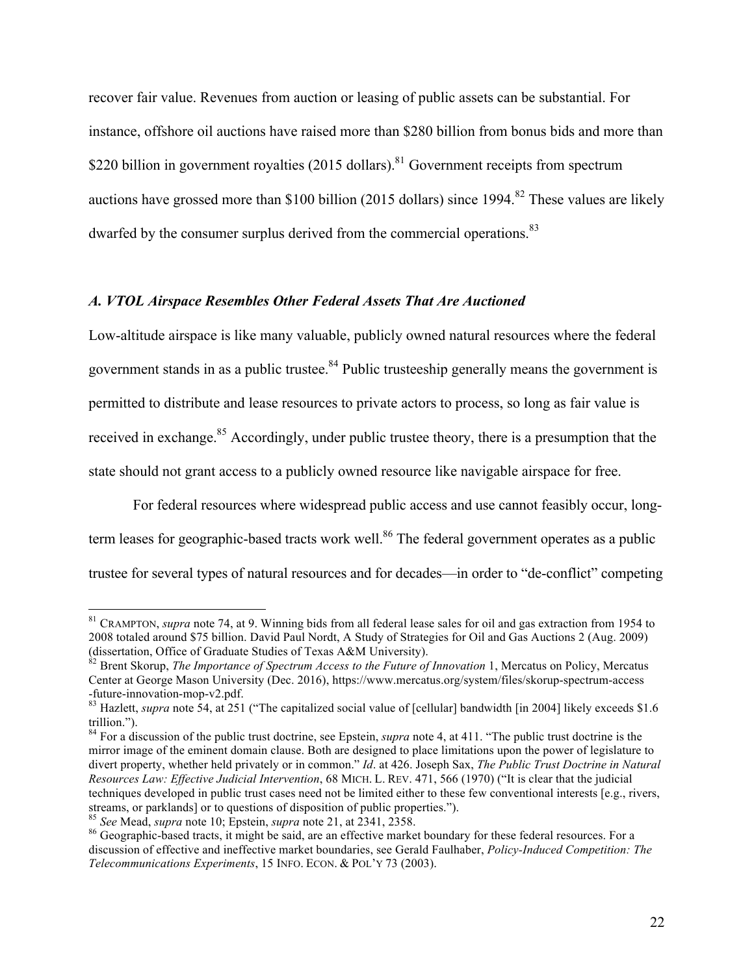recover fair value. Revenues from auction or leasing of public assets can be substantial. For instance, offshore oil auctions have raised more than \$280 billion from bonus bids and more than \$220 billion in government royalties (2015 dollars).<sup>81</sup> Government receipts from spectrum auctions have grossed more than \$100 billion (2015 dollars) since 1994.<sup>82</sup> These values are likely dwarfed by the consumer surplus derived from the commercial operations.<sup>83</sup>

# *A. VTOL Airspace Resembles Other Federal Assets That Are Auctioned*

Low-altitude airspace is like many valuable, publicly owned natural resources where the federal government stands in as a public trustee.<sup>84</sup> Public trusteeship generally means the government is permitted to distribute and lease resources to private actors to process, so long as fair value is received in exchange.<sup>85</sup> Accordingly, under public trustee theory, there is a presumption that the state should not grant access to a publicly owned resource like navigable airspace for free.

For federal resources where widespread public access and use cannot feasibly occur, longterm leases for geographic-based tracts work well.<sup>86</sup> The federal government operates as a public trustee for several types of natural resources and for decades—in order to "de-conflict" competing

<sup>81</sup> CRAMPTON, *supra* note 74, at 9. Winning bids from all federal lease sales for oil and gas extraction from 1954 to 2008 totaled around \$75 billion. David Paul Nordt, A Study of Strategies for Oil and Gas Auctions 2 (Aug. 2009) (dissertation, Office of Graduate Studies of Texas A&M University).<br><sup>82</sup> Brent Skorup, *The Importance of Spectrum Access to the Future of Innovation* 1, Mercatus on Policy, Mercatus

Center at George Mason University (Dec. 2016), https://www.mercatus.org/system/files/skorup-spectrum-access -future-innovation-mop-v2.pdf. <sup>83</sup> Hazlett, *supra* note 54, at 251 ("The capitalized social value of [cellular] bandwidth [in 2004] likely exceeds \$1.6

trillion.").

<sup>84</sup> For a discussion of the public trust doctrine, see Epstein, *supra* note 4, at 411. "The public trust doctrine is the mirror image of the eminent domain clause. Both are designed to place limitations upon the power of legislature to divert property, whether held privately or in common." *Id*. at 426. Joseph Sax, *The Public Trust Doctrine in Natural Resources Law: Effective Judicial Intervention*, 68 MICH. L. REV. 471, 566 (1970) ("It is clear that the judicial techniques developed in public trust cases need not be limited either to these few conventional interests [e.g., rivers, streams, or parklands] or to questions of disposition of public properties."). <sup>85</sup> See Mead, *supra* note 10; Epstein, *supra* note 21, at 2341, 2358.

<sup>&</sup>lt;sup>86</sup> Geographic-based tracts, it might be said, are an effective market boundary for these federal resources. For a discussion of effective and ineffective market boundaries, see Gerald Faulhaber, *Policy-Induced Competition: The Telecommunications Experiments*, 15 INFO. ECON. & POL'Y 73 (2003).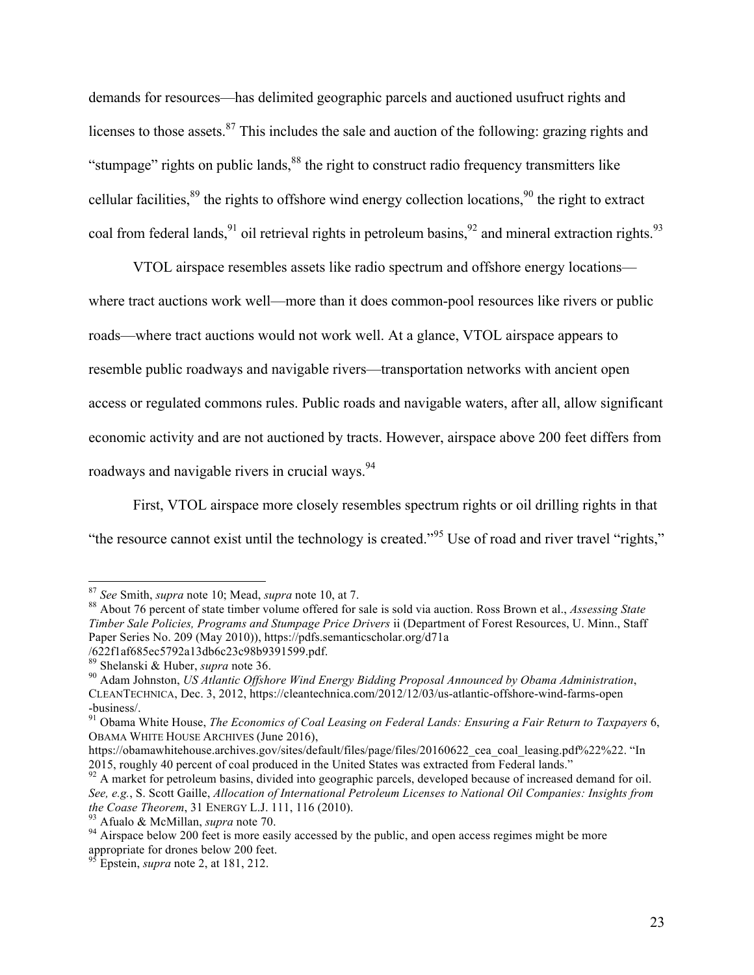demands for resources—has delimited geographic parcels and auctioned usufruct rights and licenses to those assets.<sup>87</sup> This includes the sale and auction of the following: grazing rights and "stumpage" rights on public lands,  $88$  the right to construct radio frequency transmitters like cellular facilities,  $89$  the rights to offshore wind energy collection locations,  $90$  the right to extract coal from federal lands,  $91$  oil retrieval rights in petroleum basins,  $92$  and mineral extraction rights.  $93$ 

VTOL airspace resembles assets like radio spectrum and offshore energy locations where tract auctions work well—more than it does common-pool resources like rivers or public roads—where tract auctions would not work well. At a glance, VTOL airspace appears to resemble public roadways and navigable rivers—transportation networks with ancient open access or regulated commons rules. Public roads and navigable waters, after all, allow significant economic activity and are not auctioned by tracts. However, airspace above 200 feet differs from roadways and navigable rivers in crucial ways.<sup>94</sup>

First, VTOL airspace more closely resembles spectrum rights or oil drilling rights in that "the resource cannot exist until the technology is created."<sup>95</sup> Use of road and river travel "rights,"

<sup>&</sup>lt;sup>87</sup> *See* Smith, *supra* note 10; Mead, *supra* note 10, at 7.<br><sup>88</sup> About 76 percent of state timber volume offered for sale is sold via auction. Ross Brown et al., *Assessing State Timber Sale Policies, Programs and Stumpage Price Drivers* ii (Department of Forest Resources, U. Minn., Staff Paper Series No. 209 (May 2010)), https://pdfs.semanticscholar.org/d71a<br>/622f1af685ec5792a13db6c23c98b9391599.pdf.

<sup>&</sup>lt;sup>89</sup> Shelanski & Huber, *supra* note 36.<br><sup>90</sup> Adam Johnston, *US Atlantic Offshore Wind Energy Bidding Proposal Announced by Obama Administration*, CLEANTECHNICA, Dec. 3, 2012, https://cleantechnica.com/2012/12/03/us-atlantic-offshore-wind-farms-open -business/.

<sup>91</sup> Obama White House, *The Economics of Coal Leasing on Federal Lands: Ensuring a Fair Return to Taxpayers* 6, OBAMA WHITE HOUSE ARCHIVES (June 2016),

https://obamawhitehouse.archives.gov/sites/default/files/page/files/20160622\_cea\_coal\_leasing.pdf%22%22. "In 2015, roughly 40 percent of coal produced in the United States was extracted from Federal lands."

<sup>&</sup>lt;sup>92</sup> A market for petroleum basins, divided into geographic parcels, developed because of increased demand for oil. *See, e.g.*, S. Scott Gaille, *Allocation of International Petroleum Licenses to National Oil Companies: Insights from the Coase Theorem*, 31 ENERGY L.J. 111, 116 (2010).<br><sup>93</sup> Afualo & McMillan, *supra* note 70.<br><sup>94</sup> Airspace below 200 feet is more easily accessed by the public, and open access regimes might be more

appropriate for drones below 200 feet. <sup>95</sup> Epstein, *supra* note 2, at 181, 212.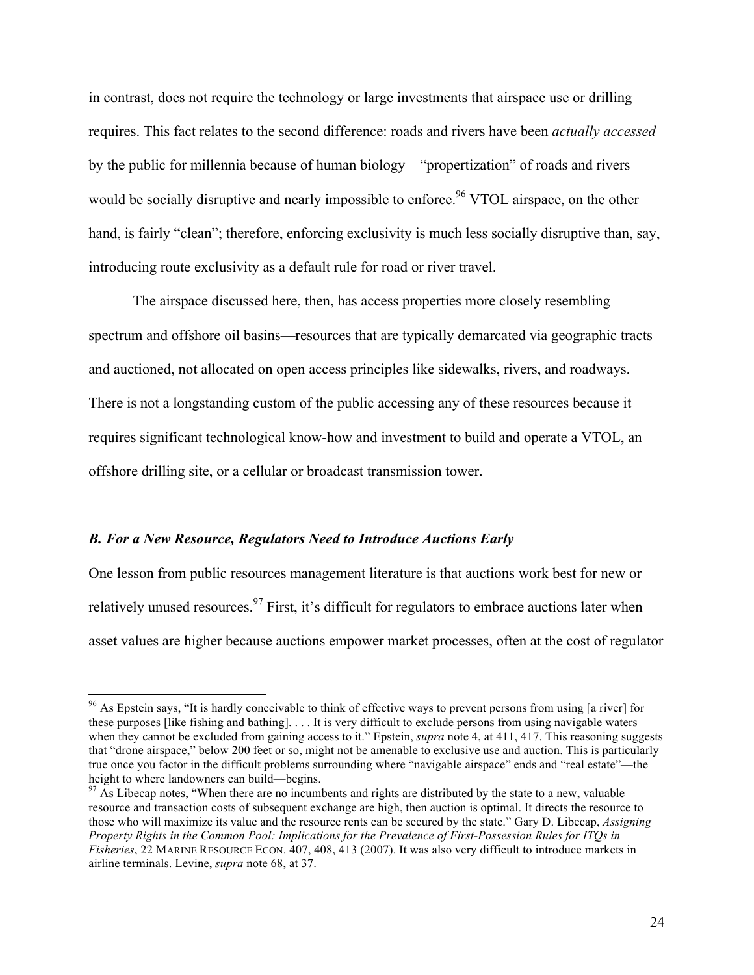in contrast, does not require the technology or large investments that airspace use or drilling requires. This fact relates to the second difference: roads and rivers have been *actually accessed* by the public for millennia because of human biology—"propertization" of roads and rivers would be socially disruptive and nearly impossible to enforce.<sup>96</sup> VTOL airspace, on the other hand, is fairly "clean"; therefore, enforcing exclusivity is much less socially disruptive than, say, introducing route exclusivity as a default rule for road or river travel.

The airspace discussed here, then, has access properties more closely resembling spectrum and offshore oil basins—resources that are typically demarcated via geographic tracts and auctioned, not allocated on open access principles like sidewalks, rivers, and roadways. There is not a longstanding custom of the public accessing any of these resources because it requires significant technological know-how and investment to build and operate a VTOL, an offshore drilling site, or a cellular or broadcast transmission tower.

#### *B. For a New Resource, Regulators Need to Introduce Auctions Early*

One lesson from public resources management literature is that auctions work best for new or relatively unused resources.<sup>97</sup> First, it's difficult for regulators to embrace auctions later when asset values are higher because auctions empower market processes, often at the cost of regulator

<sup>&</sup>lt;sup>96</sup> As Epstein says, "It is hardly conceivable to think of effective ways to prevent persons from using [a river] for these purposes [like fishing and bathing]. . . . It is very difficult to exclude persons from using navigable waters when they cannot be excluded from gaining access to it." Epstein, *supra* note 4, at 411, 417. This reasoning suggests that "drone airspace," below 200 feet or so, might not be amenable to exclusive use and auction. This is particularly true once you factor in the difficult problems surrounding where "navigable airspace" ends and "real estate"—the

 $\frac{97}{97}$  As Libecap notes, "When there are no incumbents and rights are distributed by the state to a new, valuable resource and transaction costs of subsequent exchange are high, then auction is optimal. It directs the resource to those who will maximize its value and the resource rents can be secured by the state." Gary D. Libecap, *Assigning Property Rights in the Common Pool: Implications for the Prevalence of First-Possession Rules for ITQs in Fisheries*, 22 MARINE RESOURCE ECON. 407, 408, 413 (2007). It was also very difficult to introduce markets in airline terminals. Levine, *supra* note 68, at 37.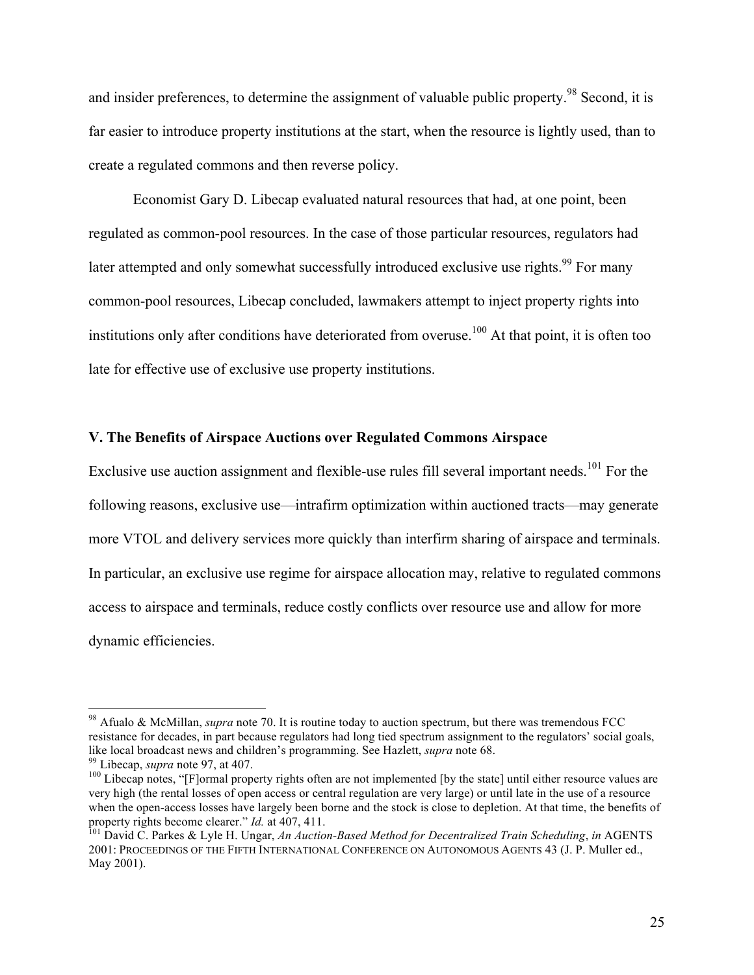and insider preferences, to determine the assignment of valuable public property.<sup>98</sup> Second, it is far easier to introduce property institutions at the start, when the resource is lightly used, than to create a regulated commons and then reverse policy.

Economist Gary D. Libecap evaluated natural resources that had, at one point, been regulated as common-pool resources. In the case of those particular resources, regulators had later attempted and only somewhat successfully introduced exclusive use rights.<sup>99</sup> For many common-pool resources, Libecap concluded, lawmakers attempt to inject property rights into institutions only after conditions have deteriorated from overuse.<sup>100</sup> At that point, it is often too late for effective use of exclusive use property institutions.

# **V. The Benefits of Airspace Auctions over Regulated Commons Airspace**

Exclusive use auction assignment and flexible-use rules fill several important needs.<sup>101</sup> For the following reasons, exclusive use—intrafirm optimization within auctioned tracts—may generate more VTOL and delivery services more quickly than interfirm sharing of airspace and terminals. In particular, an exclusive use regime for airspace allocation may, relative to regulated commons access to airspace and terminals, reduce costly conflicts over resource use and allow for more dynamic efficiencies.

<sup>98</sup> Afualo & McMillan, *supra* note 70. It is routine today to auction spectrum, but there was tremendous FCC resistance for decades, in part because regulators had long tied spectrum assignment to the regulators' social goals, like local broadcast news and children's programming. See Hazlett, *supra* note 68.<br><sup>99</sup> Libecap, *supra* note 97, at 407.<br><sup>100</sup> Libecap notes, "[F]ormal property rights often are not implemented [by the state] until eithe

very high (the rental losses of open access or central regulation are very large) or until late in the use of a resource when the open-access losses have largely been borne and the stock is close to depletion. At that time, the benefits of property rights become clearer." *Id.* at 407, 411.<br><sup>101</sup> David C. Parkes & Lyle H. Ungar, *An Auction-Based Method for Decentralized Train Scheduling*, *in* AGENTS

<sup>2001:</sup> PROCEEDINGS OF THE FIFTH INTERNATIONAL CONFERENCE ON AUTONOMOUS AGENTS 43 (J. P. Muller ed., May 2001).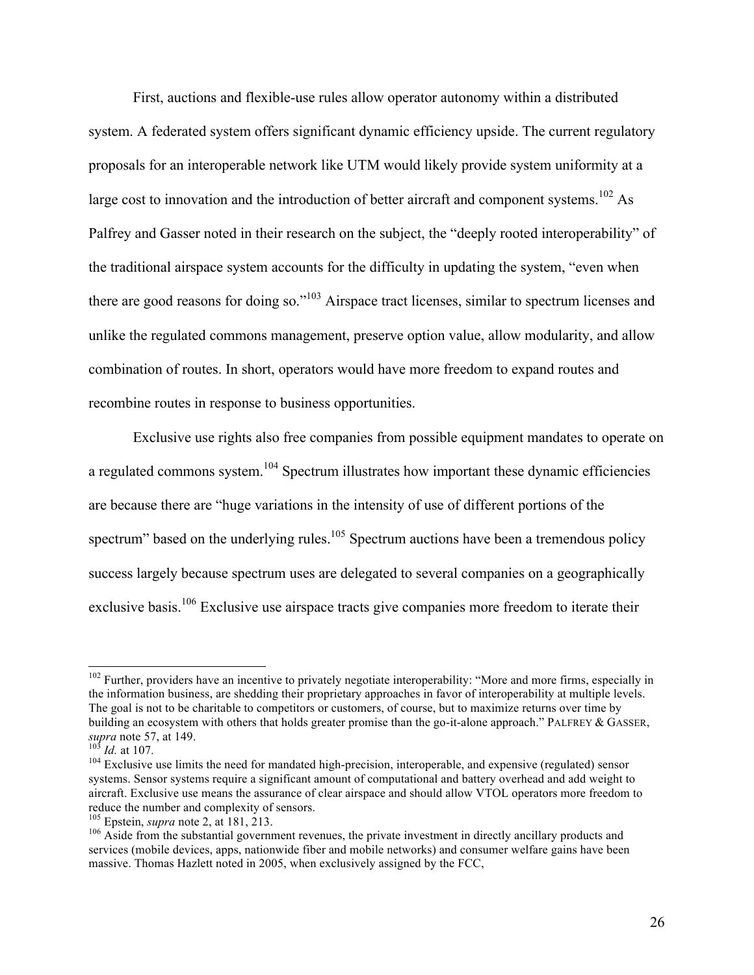First, auctions and flexible-use rules allow operator autonomy within a distributed system. A federated system offers significant dynamic efficiency upside. The current regulatory proposals for an interoperable network like UTM would likely provide system uniformity at a large cost to innovation and the introduction of better aircraft and component systems.<sup>102</sup> As Palfrey and Gasser noted in their research on the subject, the "deeply rooted interoperability" of the traditional airspace system accounts for the difficulty in updating the system, "even when there are good reasons for doing so."<sup>103</sup> Airspace tract licenses, similar to spectrum licenses and unlike the regulated commons management, preserve option value, allow modularity, and allow combination of routes. In short, operators would have more freedom to expand routes and recombine routes in response to business opportunities.

Exclusive use rights also free companies from possible equipment mandates to operate on a regulated commons system.<sup>104</sup> Spectrum illustrates how important these dynamic efficiencies are because there are "huge variations in the intensity of use of different portions of the spectrum" based on the underlying rules.<sup>105</sup> Spectrum auctions have been a tremendous policy success largely because spectrum uses are delegated to several companies on a geographically exclusive basis.<sup>106</sup> Exclusive use airspace tracts give companies more freedom to iterate their

 $102$  Further, providers have an incentive to privately negotiate interoperability: "More and more firms, especially in the information business, are shedding their proprietary approaches in favor of interoperability at multiple levels. The goal is not to be charitable to competitors or customers, of course, but to maximize returns over time by building an ecosystem with others that holds greater promise than the go-it-alone approach." PALFREY & GASSER, supra note 57, at 149.<br> $^{105}$  Id. at 107.

<sup>&</sup>lt;sup>104</sup> Exclusive use limits the need for mandated high-precision, interoperable, and expensive (regulated) sensor systems. Sensor systems require a significant amount of computational and battery overhead and add weight to aircraft. Exclusive use means the assurance of clear airspace and should allow VTOL operators more freedom to reduce the number and complexity of sensors.<br><sup>105</sup> Epstein, *supra* note 2, at 181, 213.

<sup>&</sup>lt;sup>106</sup> Aside from the substantial government revenues, the private investment in directly ancillary products and services (mobile devices, apps, nationwide fiber and mobile networks) and consumer welfare gains have been massive. Thomas Hazlett noted in 2005, when exclusively assigned by the FCC,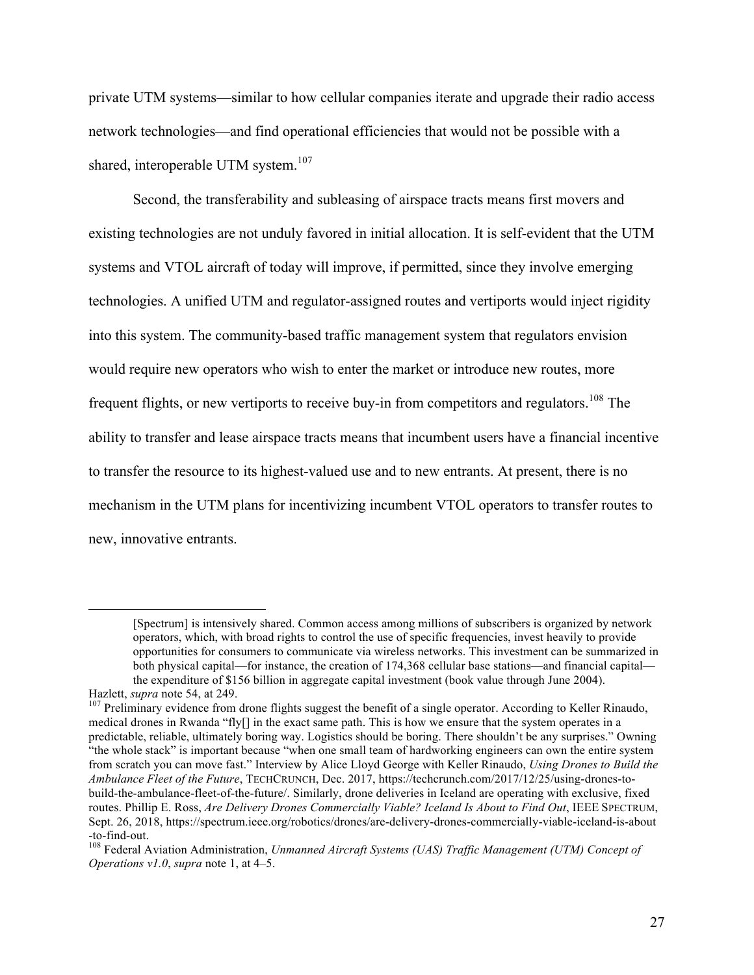private UTM systems—similar to how cellular companies iterate and upgrade their radio access network technologies—and find operational efficiencies that would not be possible with a shared, interoperable UTM system.<sup>107</sup>

Second, the transferability and subleasing of airspace tracts means first movers and existing technologies are not unduly favored in initial allocation. It is self-evident that the UTM systems and VTOL aircraft of today will improve, if permitted, since they involve emerging technologies. A unified UTM and regulator-assigned routes and vertiports would inject rigidity into this system. The community-based traffic management system that regulators envision would require new operators who wish to enter the market or introduce new routes, more frequent flights, or new vertiports to receive buy-in from competitors and regulators.<sup>108</sup> The ability to transfer and lease airspace tracts means that incumbent users have a financial incentive to transfer the resource to its highest-valued use and to new entrants. At present, there is no mechanism in the UTM plans for incentivizing incumbent VTOL operators to transfer routes to new, innovative entrants.

 $\overline{a}$ 

<sup>[</sup>Spectrum] is intensively shared. Common access among millions of subscribers is organized by network operators, which, with broad rights to control the use of specific frequencies, invest heavily to provide opportunities for consumers to communicate via wireless networks. This investment can be summarized in both physical capital—for instance, the creation of 174,368 cellular base stations—and financial capital the expenditure of \$156 billion in aggregate capital investment (book value through June 2004).

Hazlett, *supra* note 54, at 249.<br><sup>107</sup> Preliminary evidence from drone flights suggest the benefit of a single operator. According to Keller Rinaudo, medical drones in Rwanda "fly[] in the exact same path. This is how we ensure that the system operates in a predictable, reliable, ultimately boring way. Logistics should be boring. There shouldn't be any surprises." Owning "the whole stack" is important because "when one small team of hardworking engineers can own the entire system from scratch you can move fast." Interview by Alice Lloyd George with Keller Rinaudo, *Using Drones to Build the Ambulance Fleet of the Future*, TECHCRUNCH, Dec. 2017, https://techcrunch.com/2017/12/25/using-drones-tobuild-the-ambulance-fleet-of-the-future/. Similarly, drone deliveries in Iceland are operating with exclusive, fixed routes. Phillip E. Ross, *Are Delivery Drones Commercially Viable? Iceland Is About to Find Out*, IEEE SPECTRUM, Sept. 26, 2018, https://spectrum.ieee.org/robotics/drones/are-delivery-drones-commercially-viable-iceland-is-about -to-find-out. <sup>108</sup> Federal Aviation Administration, *Unmanned Aircraft Systems (UAS) Traffic Management (UTM) Concept of* 

*Operations v1.0*, *supra* note 1, at 4–5.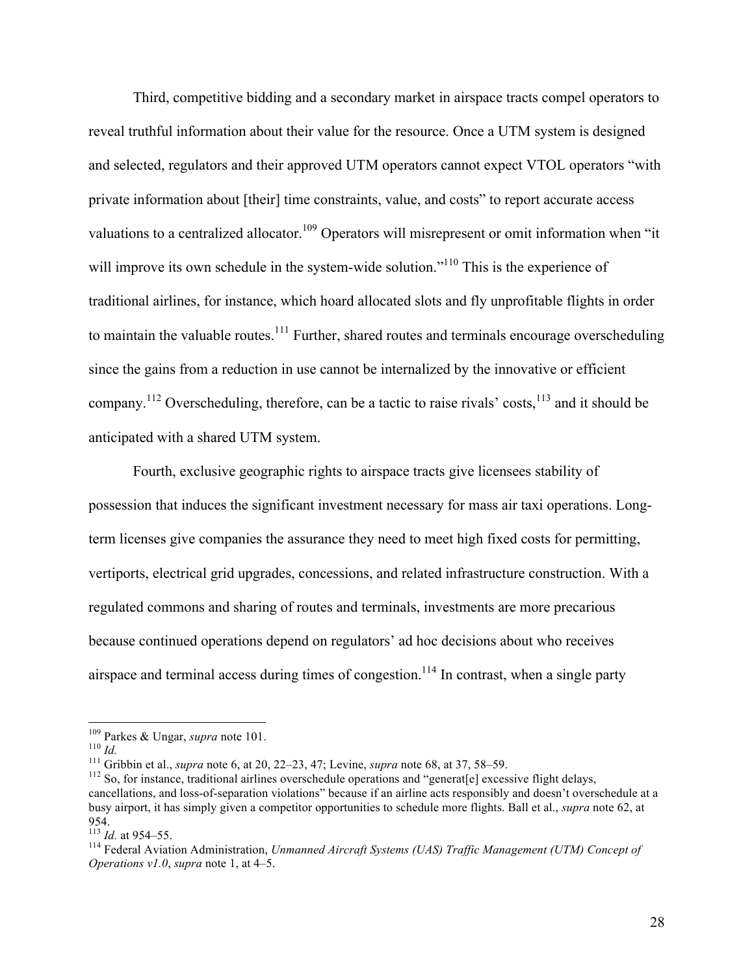Third, competitive bidding and a secondary market in airspace tracts compel operators to reveal truthful information about their value for the resource. Once a UTM system is designed and selected, regulators and their approved UTM operators cannot expect VTOL operators "with private information about [their] time constraints, value, and costs" to report accurate access valuations to a centralized allocator.<sup>109</sup> Operators will misrepresent or omit information when "it will improve its own schedule in the system-wide solution."<sup>110</sup> This is the experience of traditional airlines, for instance, which hoard allocated slots and fly unprofitable flights in order to maintain the valuable routes.<sup>111</sup> Further, shared routes and terminals encourage overscheduling since the gains from a reduction in use cannot be internalized by the innovative or efficient company.<sup>112</sup> Overscheduling, therefore, can be a tactic to raise rivals' costs,  $^{113}$  and it should be anticipated with a shared UTM system.

Fourth, exclusive geographic rights to airspace tracts give licensees stability of possession that induces the significant investment necessary for mass air taxi operations. Longterm licenses give companies the assurance they need to meet high fixed costs for permitting, vertiports, electrical grid upgrades, concessions, and related infrastructure construction. With a regulated commons and sharing of routes and terminals, investments are more precarious because continued operations depend on regulators' ad hoc decisions about who receives airspace and terminal access during times of congestion.<sup>114</sup> In contrast, when a single party

<sup>&</sup>lt;sup>109</sup> Parkes & Ungar, *supra* note 101.<br><sup>110</sup> *Id.*<br><sup>111</sup> Gribbin et al., *supra* note 6, at 20, 22–23, 47; Levine, *supra* note 68, at 37, 58–59.<br><sup>112</sup> So, for instance, traditional airlines overschedule operations and " cancellations, and loss-of-separation violations" because if an airline acts responsibly and doesn't overschedule at a busy airport, it has simply given a competitor opportunities to schedule more flights. Ball et al., *supra* note 62, at 954.<br><sup>113</sup> *Id.* at 954–55.

<sup>114</sup> Federal Aviation Administration, *Unmanned Aircraft Systems (UAS) Traffic Management (UTM) Concept of Operations v1.0*, *supra* note 1, at 4–5.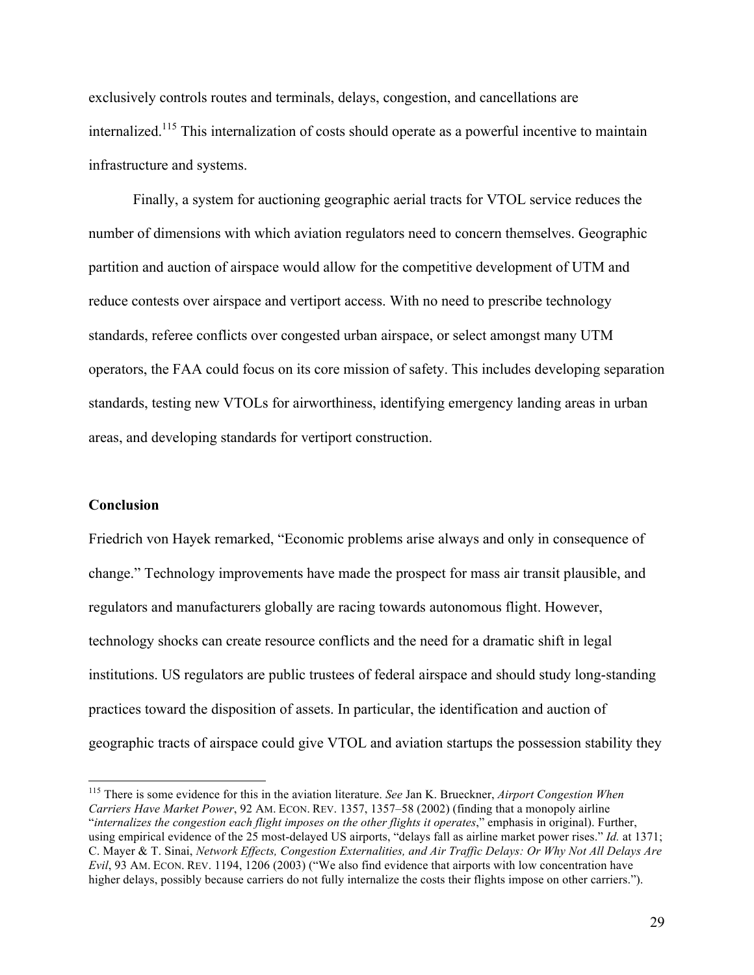exclusively controls routes and terminals, delays, congestion, and cancellations are internalized.115 This internalization of costs should operate as a powerful incentive to maintain infrastructure and systems.

Finally, a system for auctioning geographic aerial tracts for VTOL service reduces the number of dimensions with which aviation regulators need to concern themselves. Geographic partition and auction of airspace would allow for the competitive development of UTM and reduce contests over airspace and vertiport access. With no need to prescribe technology standards, referee conflicts over congested urban airspace, or select amongst many UTM operators, the FAA could focus on its core mission of safety. This includes developing separation standards, testing new VTOLs for airworthiness, identifying emergency landing areas in urban areas, and developing standards for vertiport construction.

#### **Conclusion**

Friedrich von Hayek remarked, "Economic problems arise always and only in consequence of change." Technology improvements have made the prospect for mass air transit plausible, and regulators and manufacturers globally are racing towards autonomous flight. However, technology shocks can create resource conflicts and the need for a dramatic shift in legal institutions. US regulators are public trustees of federal airspace and should study long-standing practices toward the disposition of assets. In particular, the identification and auction of geographic tracts of airspace could give VTOL and aviation startups the possession stability they

<sup>115</sup> There is some evidence for this in the aviation literature. *See* Jan K. Brueckner, *Airport Congestion When Carriers Have Market Power*, 92 AM. ECON. REV. 1357, 1357–58 (2002) (finding that a monopoly airline "*internalizes the congestion each flight imposes on the other flights it operates*," emphasis in original). Further, using empirical evidence of the 25 most-delayed US airports, "delays fall as airline market power rises." *Id.* at 1371; C. Mayer & T. Sinai, *Network Effects, Congestion Externalities, and Air Traffic Delays: Or Why Not All Delays Are Evil*, 93 AM. ECON. REV. 1194, 1206 (2003) ("We also find evidence that airports with low concentration have higher delays, possibly because carriers do not fully internalize the costs their flights impose on other carriers.").